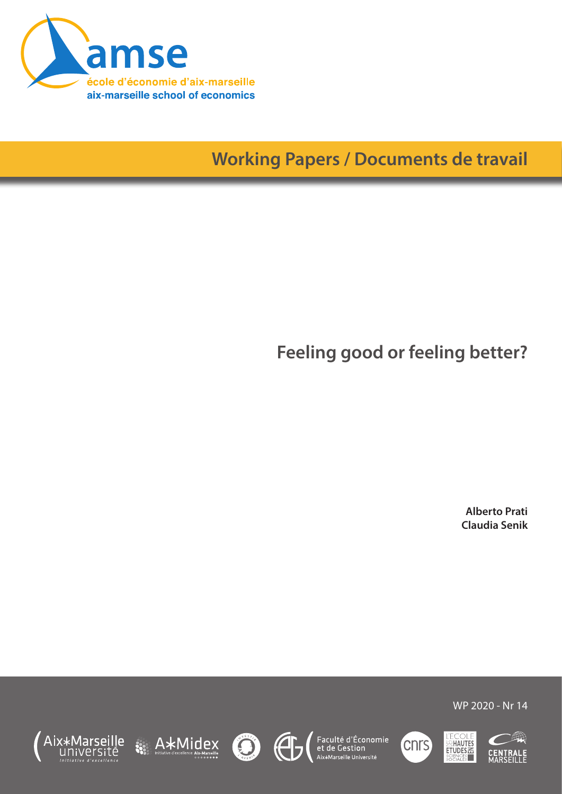

# **Working Papers / Documents de travail**

**Feeling good or feeling better?**

**Alberto Prati Claudia Senik**



WP 2020 - Nr 14













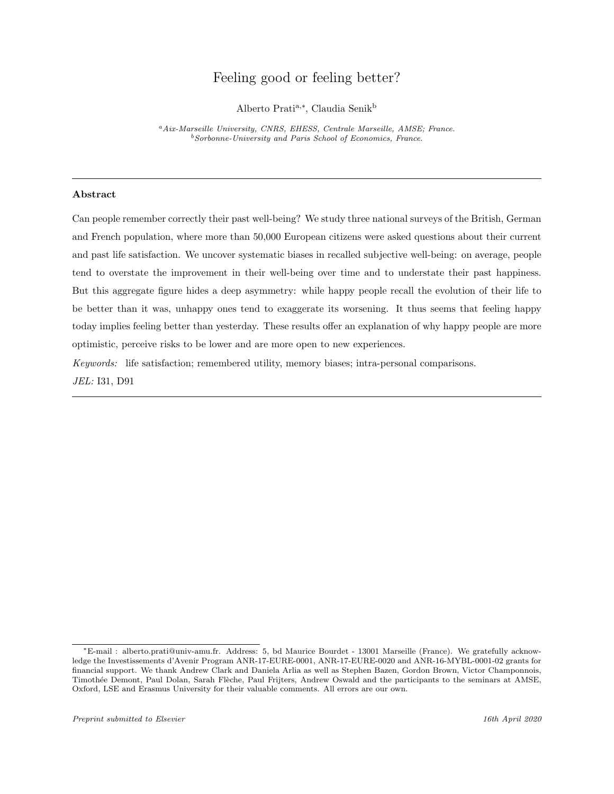## Feeling good or feeling better?

Alberto Pratia,<sup>∗</sup> , Claudia Senik<sup>b</sup>

<sup>a</sup>Aix-Marseille University, CNRS, EHESS, Centrale Marseille, AMSE; France.  $^{b}Sorbonne$ -University and Paris School of Economics, France.

## Abstract

Can people remember correctly their past well-being? We study three national surveys of the British, German and French population, where more than 50,000 European citizens were asked questions about their current and past life satisfaction. We uncover systematic biases in recalled subjective well-being: on average, people tend to overstate the improvement in their well-being over time and to understate their past happiness. But this aggregate figure hides a deep asymmetry: while happy people recall the evolution of their life to be better than it was, unhappy ones tend to exaggerate its worsening. It thus seems that feeling happy today implies feeling better than yesterday. These results offer an explanation of why happy people are more optimistic, perceive risks to be lower and are more open to new experiences.

Keywords: life satisfaction; remembered utility, memory biases; intra-personal comparisons. JEL: I31, D91

<sup>∗</sup>E-mail : alberto.prati@univ-amu.fr. Address: 5, bd Maurice Bourdet - 13001 Marseille (France). We gratefully acknowledge the Investissements d'Avenir Program ANR-17-EURE-0001, ANR-17-EURE-0020 and ANR-16-MYBL-0001-02 grants for financial support. We thank Andrew Clark and Daniela Arlia as well as Stephen Bazen, Gordon Brown, Victor Champonnois, Timothée Demont, Paul Dolan, Sarah Flèche, Paul Frijters, Andrew Oswald and the participants to the seminars at AMSE, Oxford, LSE and Erasmus University for their valuable comments. All errors are our own.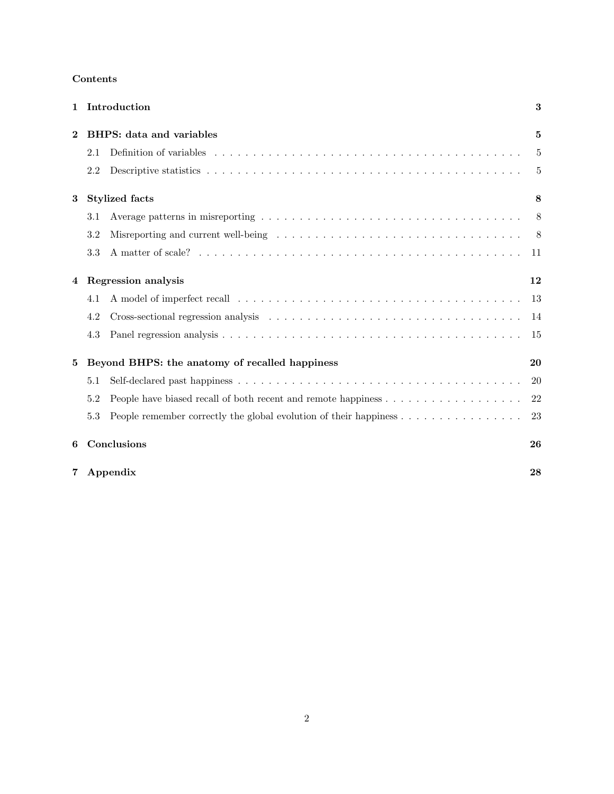| $\mathbf{1}$ |                            | Introduction                                                                                                            | 3   |  |  |
|--------------|----------------------------|-------------------------------------------------------------------------------------------------------------------------|-----|--|--|
| $\mathbf 2$  |                            | <b>BHPS:</b> data and variables                                                                                         | 5   |  |  |
|              | 2.1                        |                                                                                                                         | 5   |  |  |
|              | 2.2                        |                                                                                                                         | 5   |  |  |
| 3            |                            | <b>Stylized facts</b>                                                                                                   | 8   |  |  |
|              | 3.1                        |                                                                                                                         |     |  |  |
|              | 3.2                        | Misreporting and current well-being $\ldots \ldots \ldots \ldots \ldots \ldots \ldots \ldots \ldots \ldots \ldots$      |     |  |  |
|              | 3.3                        |                                                                                                                         |     |  |  |
| 4            | <b>Regression</b> analysis |                                                                                                                         |     |  |  |
|              | 4.1                        | A model of imperfect recall $\dots \dots \dots \dots \dots \dots \dots \dots \dots \dots \dots \dots \dots \dots \dots$ | -13 |  |  |
|              | 4.2                        |                                                                                                                         | -14 |  |  |
|              | 4.3                        |                                                                                                                         | -15 |  |  |
| 5            |                            | Beyond BHPS: the anatomy of recalled happiness                                                                          | 20  |  |  |
|              | 5.1                        |                                                                                                                         | 20  |  |  |
|              | 5.2                        |                                                                                                                         | 22  |  |  |
|              | 5.3                        | People remember correctly the global evolution of their happiness $\dots \dots \dots \dots \dots$                       | 23  |  |  |
| 6            |                            | Conclusions                                                                                                             | 26  |  |  |
| 7            |                            | Appendix                                                                                                                | 28  |  |  |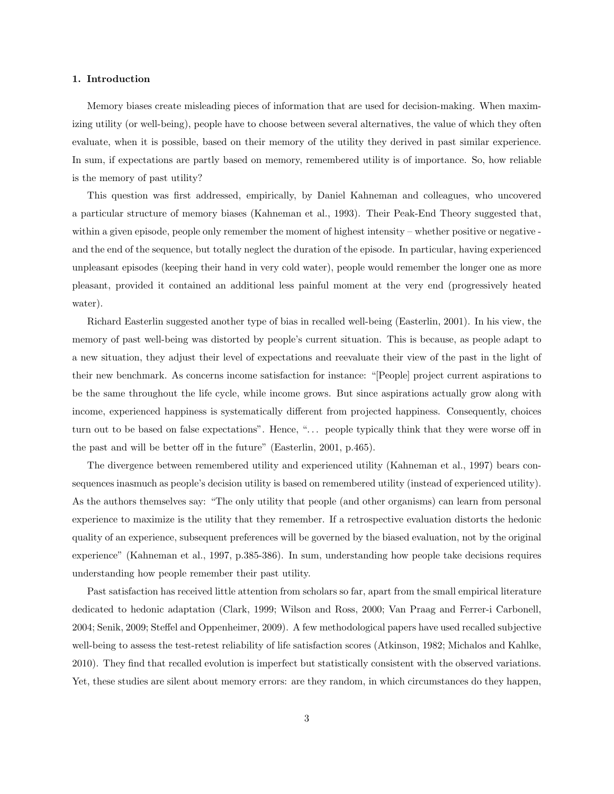#### <span id="page-3-0"></span>1. Introduction

Memory biases create misleading pieces of information that are used for decision-making. When maximizing utility (or well-being), people have to choose between several alternatives, the value of which they often evaluate, when it is possible, based on their memory of the utility they derived in past similar experience. In sum, if expectations are partly based on memory, remembered utility is of importance. So, how reliable is the memory of past utility?

This question was first addressed, empirically, by Daniel Kahneman and colleagues, who uncovered a particular structure of memory biases [\(Kahneman et al., 1993\)](#page-31-0). Their Peak-End Theory suggested that, within a given episode, people only remember the moment of highest intensity – whether positive or negative and the end of the sequence, but totally neglect the duration of the episode. In particular, having experienced unpleasant episodes (keeping their hand in very cold water), people would remember the longer one as more pleasant, provided it contained an additional less painful moment at the very end (progressively heated water).

Richard Easterlin suggested another type of bias in recalled well-being [\(Easterlin, 2001\)](#page-31-1). In his view, the memory of past well-being was distorted by people's current situation. This is because, as people adapt to a new situation, they adjust their level of expectations and reevaluate their view of the past in the light of their new benchmark. As concerns income satisfaction for instance: "[People] project current aspirations to be the same throughout the life cycle, while income grows. But since aspirations actually grow along with income, experienced happiness is systematically different from projected happiness. Consequently, choices turn out to be based on false expectations". Hence, "... people typically think that they were worse off in the past and will be better off in the future" [\(Easterlin, 2001,](#page-31-1) p.465).

The divergence between remembered utility and experienced utility [\(Kahneman et al., 1997\)](#page-31-2) bears consequences inasmuch as people's decision utility is based on remembered utility (instead of experienced utility). As the authors themselves say: "The only utility that people (and other organisms) can learn from personal experience to maximize is the utility that they remember. If a retrospective evaluation distorts the hedonic quality of an experience, subsequent preferences will be governed by the biased evaluation, not by the original experience" [\(Kahneman et al., 1997,](#page-31-2) p.385-386). In sum, understanding how people take decisions requires understanding how people remember their past utility.

Past satisfaction has received little attention from scholars so far, apart from the small empirical literature dedicated to hedonic adaptation [\(Clark, 1999;](#page-31-3) [Wilson and Ross, 2000;](#page-32-0) [Van Praag and Ferrer-i Carbonell,](#page-32-1) [2004;](#page-32-1) [Senik, 2009;](#page-32-2) [Steffel and Oppenheimer, 2009\)](#page-32-3). A few methodological papers have used recalled subjective well-being to assess the test-retest reliability of life satisfaction scores [\(Atkinson, 1982;](#page-31-4) [Michalos and Kahlke,](#page-32-4) [2010\)](#page-32-4). They find that recalled evolution is imperfect but statistically consistent with the observed variations. Yet, these studies are silent about memory errors: are they random, in which circumstances do they happen,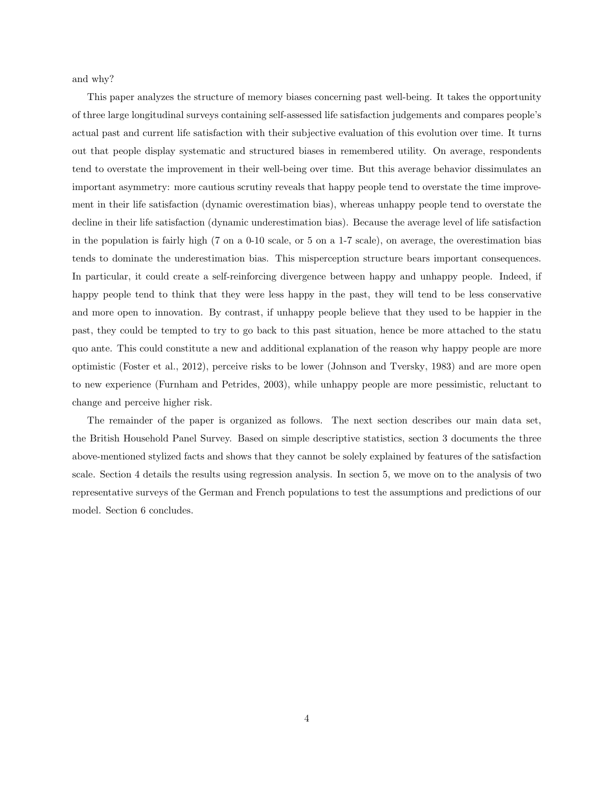and why?

This paper analyzes the structure of memory biases concerning past well-being. It takes the opportunity of three large longitudinal surveys containing self-assessed life satisfaction judgements and compares people's actual past and current life satisfaction with their subjective evaluation of this evolution over time. It turns out that people display systematic and structured biases in remembered utility. On average, respondents tend to overstate the improvement in their well-being over time. But this average behavior dissimulates an important asymmetry: more cautious scrutiny reveals that happy people tend to overstate the time improvement in their life satisfaction (dynamic overestimation bias), whereas unhappy people tend to overstate the decline in their life satisfaction (dynamic underestimation bias). Because the average level of life satisfaction in the population is fairly high (7 on a 0-10 scale, or 5 on a 1-7 scale), on average, the overestimation bias tends to dominate the underestimation bias. This misperception structure bears important consequences. In particular, it could create a self-reinforcing divergence between happy and unhappy people. Indeed, if happy people tend to think that they were less happy in the past, they will tend to be less conservative and more open to innovation. By contrast, if unhappy people believe that they used to be happier in the past, they could be tempted to try to go back to this past situation, hence be more attached to the statu quo ante. This could constitute a new and additional explanation of the reason why happy people are more optimistic [\(Foster et al., 2012\)](#page-31-5), perceive risks to be lower [\(Johnson and Tversky, 1983\)](#page-31-6) and are more open to new experience [\(Furnham and Petrides, 2003\)](#page-31-7), while unhappy people are more pessimistic, reluctant to change and perceive higher risk.

The remainder of the paper is organized as follows. The next section describes our main data set, the British Household Panel Survey. Based on simple descriptive statistics, section [3](#page-8-0) documents the three above-mentioned stylized facts and shows that they cannot be solely explained by features of the satisfaction scale. Section [4](#page-12-0) details the results using regression analysis. In section [5,](#page-20-0) we move on to the analysis of two representative surveys of the German and French populations to test the assumptions and predictions of our model. Section [6](#page-26-0) concludes.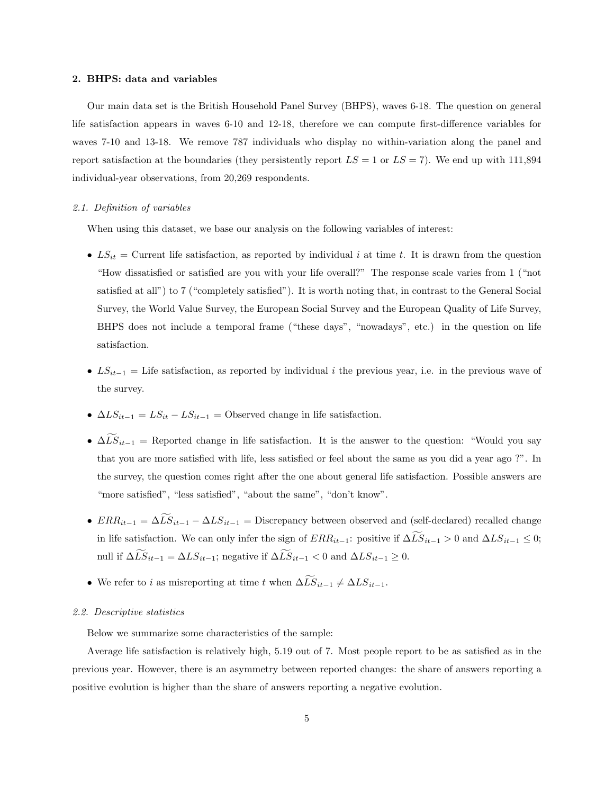#### <span id="page-5-0"></span>2. BHPS: data and variables

Our main data set is the British Household Panel Survey (BHPS), waves 6-18. The question on general life satisfaction appears in waves 6-10 and 12-18, therefore we can compute first-difference variables for waves 7-10 and 13-18. We remove 787 individuals who display no within-variation along the panel and report satisfaction at the boundaries (they persistently report  $LS = 1$  or  $LS = 7$ ). We end up with 111,894 individual-year observations, from 20,269 respondents.

## <span id="page-5-1"></span>2.1. Definition of variables

When using this dataset, we base our analysis on the following variables of interest:

- $LS_{it}$  = Current life satisfaction, as reported by individual i at time t. It is drawn from the question "How dissatisfied or satisfied are you with your life overall?" The response scale varies from 1 ("not satisfied at all") to 7 ("completely satisfied"). It is worth noting that, in contrast to the General Social Survey, the World Value Survey, the European Social Survey and the European Quality of Life Survey, BHPS does not include a temporal frame ("these days", "nowadays", etc.) in the question on life satisfaction.
- $LS_{it-1} =$  Life satisfaction, as reported by individual i the previous year, i.e. in the previous wave of the survey.
- $\Delta LS_{it-1} = LS_{it} LS_{it-1}$  = Observed change in life satisfaction.
- $\Delta L S_{it-1}$  = Reported change in life satisfaction. It is the answer to the question: "Would you say that you are more satisfied with life, less satisfied or feel about the same as you did a year ago ?". In the survey, the question comes right after the one about general life satisfaction. Possible answers are "more satisfied", "less satisfied", "about the same", "don't know".
- $ERR_{it-1} = \Delta \widetilde{LS}_{it-1} \Delta LS_{it-1} =$  Discrepancy between observed and (self-declared) recalled change in life satisfaction. We can only infer the sign of  $ERR_{it-1}$ : positive if  $\Delta LS_{it-1} > 0$  and  $\Delta LS_{it-1} \leq 0$ ; null if  $\Delta \widetilde{LS}_{it-1} = \Delta LS_{it-1}$ ; negative if  $\Delta \widetilde{LS}_{it-1} < 0$  and  $\Delta LS_{it-1} \geq 0$ .
- We refer to i as misreporting at time t when  $\Delta \widetilde{LS}_{it-1} \neq \Delta LS_{it-1}$ .

#### <span id="page-5-2"></span>2.2. Descriptive statistics

Below we summarize some characteristics of the sample:

Average life satisfaction is relatively high, 5.19 out of 7. Most people report to be as satisfied as in the previous year. However, there is an asymmetry between reported changes: the share of answers reporting a positive evolution is higher than the share of answers reporting a negative evolution.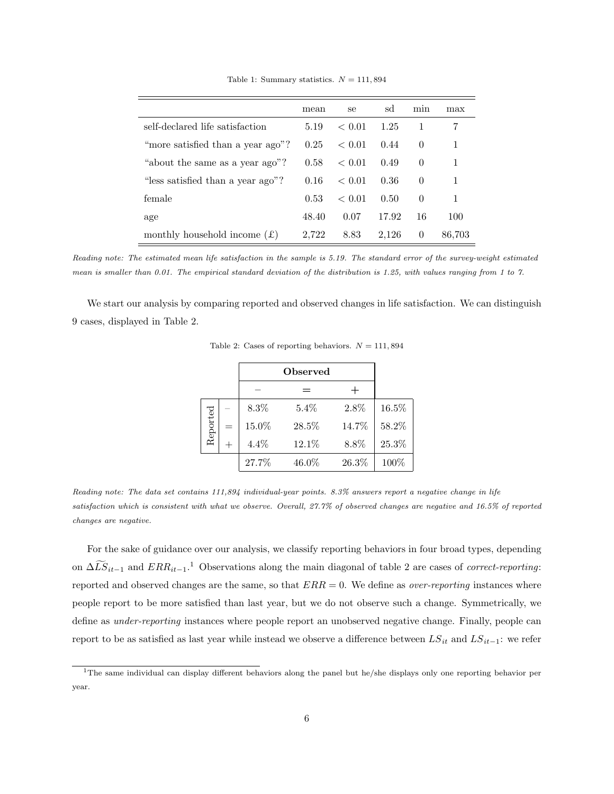|                                             | mean  | se     | sd    | min      | max    |
|---------------------------------------------|-------|--------|-------|----------|--------|
| self-declared life satisfaction             | 5.19  | < 0.01 | 1.25  | 1        | 7      |
| "more satisfied than a year ago"?           | 0.25  | < 0.01 | 0.44  | $\theta$ | 1      |
| "about the same as a year ago"?             | 0.58  | < 0.01 | 0.49  | $\Omega$ | 1      |
| "less satisfied than a year ago"?           | 0.16  | < 0.01 | 0.36  | $\Omega$ | 1      |
| female                                      | 0.53  | < 0.01 | 0.50  | $\Omega$ | 1      |
| age                                         | 48.40 | 0.07   | 17.92 | 16       | 100    |
| monthly household income $(\text{\pounds})$ | 2,722 | 8.83   | 2,126 | $\theta$ | 86,703 |

Table 1: Summary statistics.  $N = 111,894$ 

Reading note: The estimated mean life satisfaction in the sample is 5.19. The standard error of the survey-weight estimated mean is smaller than 0.01. The empirical standard deviation of the distribution is 1.25, with values ranging from 1 to 7.

<span id="page-6-0"></span>We start our analysis by comparing reported and observed changes in life satisfaction. We can distinguish 9 cases, displayed in Table [2.](#page-6-0)

|          | 8.3%    | 5.4%  | 2.8%  | 16.5% |
|----------|---------|-------|-------|-------|
| Reported | 15.0%   | 28.5% | 14.7% | 58.2% |
|          | $4.4\%$ | 12.1% | 8.8%  | 25.3% |
|          | 27.7%   | 46.0% | 26.3% | 100%  |

Table 2: Cases of reporting behaviors.  $N = 111,894$ 

Reading note: The data set contains 111,894 individual-year points. 8.3% answers report a negative change in life satisfaction which is consistent with what we observe. Overall, 27.7% of observed changes are negative and 16.5% of reported changes are negative.

For the sake of guidance over our analysis, we classify reporting behaviors in four broad types, depending on  $\Delta \tilde{LS}_{it-1}$  $\Delta \tilde{LS}_{it-1}$  $\Delta \tilde{LS}_{it-1}$  and  $ERR_{it-1}.$ <sup>1</sup> Observations along the main diagonal of table [2](#page-6-0) are cases of *correct-reporting*: reported and observed changes are the same, so that  $ERR = 0$ . We define as *over-reporting* instances where people report to be more satisfied than last year, but we do not observe such a change. Symmetrically, we define as under-reporting instances where people report an unobserved negative change. Finally, people can report to be as satisfied as last year while instead we observe a difference between  $LS_{it}$  and  $LS_{it-1}$ : we refer

<span id="page-6-1"></span><sup>&</sup>lt;sup>1</sup>The same individual can display different behaviors along the panel but he/she displays only one reporting behavior per year.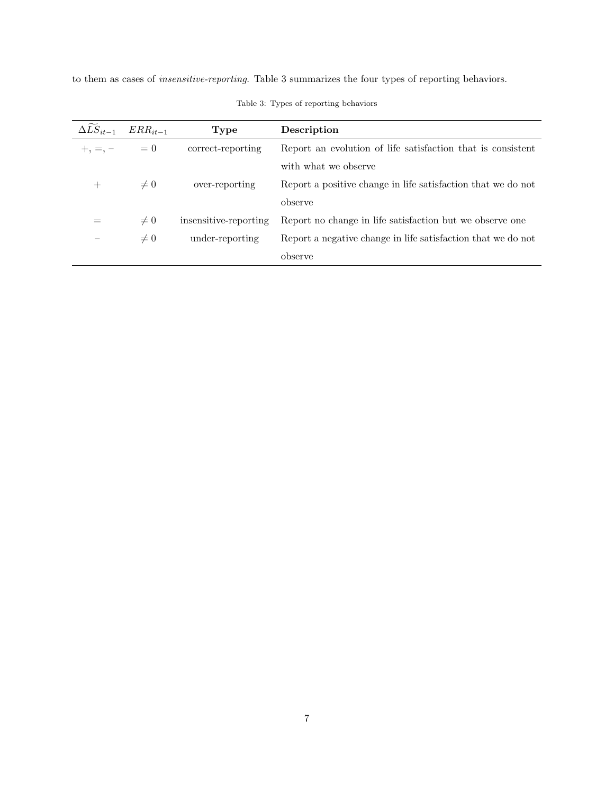<span id="page-7-0"></span>to them as cases of insensitive-reporting. Table [3](#page-7-0) summarizes the four types of reporting behaviors.

| $\Delta LS_{it-1}$ | $ERR_{it-1}$ | Type                  | Description                                                  |
|--------------------|--------------|-----------------------|--------------------------------------------------------------|
| $+, =, -$          | $= 0$        | correct-reporting     | Report an evolution of life satisfaction that is consistent  |
|                    |              |                       | with what we observe                                         |
|                    | $\neq 0$     | over-reporting        | Report a positive change in life satisfaction that we do not |
|                    |              |                       | observe                                                      |
|                    | $\neq 0$     | insensitive-reporting | Report no change in life satisfaction but we observe one     |
|                    | $\neq 0$     | under-reporting       | Report a negative change in life satisfaction that we do not |
|                    |              |                       | observe                                                      |

Table 3: Types of reporting behaviors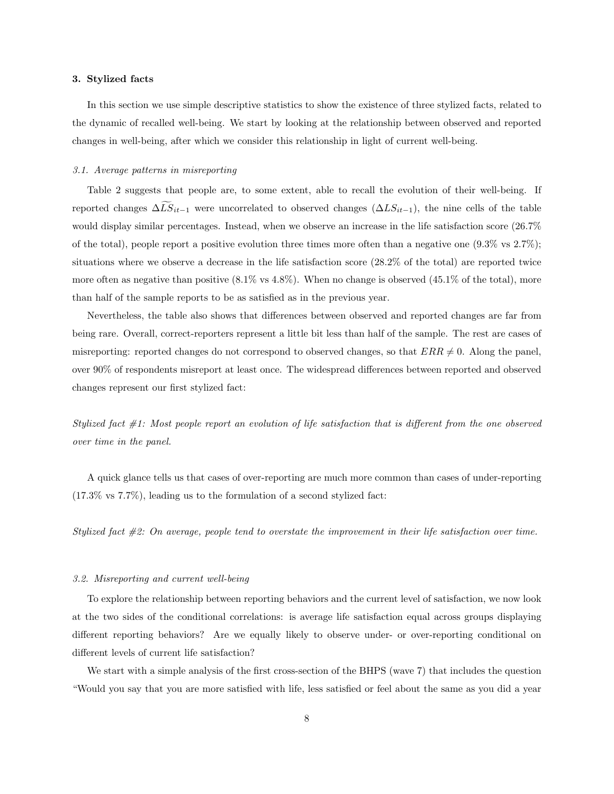#### <span id="page-8-0"></span>3. Stylized facts

In this section we use simple descriptive statistics to show the existence of three stylized facts, related to the dynamic of recalled well-being. We start by looking at the relationship between observed and reported changes in well-being, after which we consider this relationship in light of current well-being.

## <span id="page-8-1"></span>3.1. Average patterns in misreporting

Table [2](#page-6-0) suggests that people are, to some extent, able to recall the evolution of their well-being. If reported changes  $\Delta LS_{it-1}$  were uncorrelated to observed changes  $(\Delta LS_{it-1})$ , the nine cells of the table would display similar percentages. Instead, when we observe an increase in the life satisfaction score (26.7% of the total), people report a positive evolution three times more often than a negative one  $(9.3\% \text{ vs } 2.7\%)$ ; situations where we observe a decrease in the life satisfaction score (28.2% of the total) are reported twice more often as negative than positive  $(8.1\% \text{ vs } 4.8\%)$ . When no change is observed  $(45.1\% \text{ of the total})$ , more than half of the sample reports to be as satisfied as in the previous year.

Nevertheless, the table also shows that differences between observed and reported changes are far from being rare. Overall, correct-reporters represent a little bit less than half of the sample. The rest are cases of misreporting: reported changes do not correspond to observed changes, so that  $ERR \neq 0$ . Along the panel, over 90% of respondents misreport at least once. The widespread differences between reported and observed changes represent our first stylized fact:

Stylized fact #1: Most people report an evolution of life satisfaction that is different from the one observed over time in the panel.

A quick glance tells us that cases of over-reporting are much more common than cases of under-reporting (17.3% vs 7.7%), leading us to the formulation of a second stylized fact:

Stylized fact #2: On average, people tend to overstate the improvement in their life satisfaction over time.

#### <span id="page-8-2"></span>3.2. Misreporting and current well-being

To explore the relationship between reporting behaviors and the current level of satisfaction, we now look at the two sides of the conditional correlations: is average life satisfaction equal across groups displaying different reporting behaviors? Are we equally likely to observe under- or over-reporting conditional on different levels of current life satisfaction?

We start with a simple analysis of the first cross-section of the BHPS (wave 7) that includes the question "Would you say that you are more satisfied with life, less satisfied or feel about the same as you did a year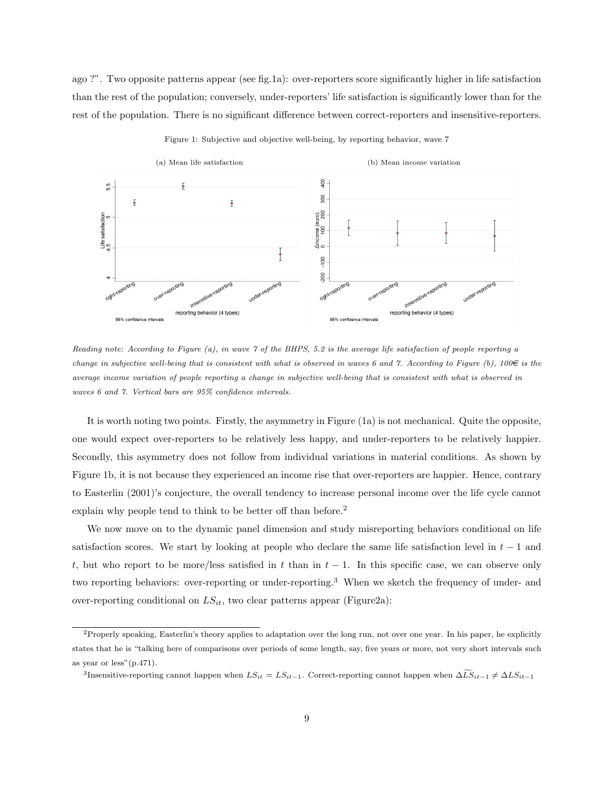ago ?". Two opposite patterns appear (see fig[.1a\)](#page-9-0): over-reporters score significantly higher in life satisfaction than the rest of the population; conversely, under-reporters' life satisfaction is significantly lower than for the rest of the population. There is no significant difference between correct-reporters and insensitive-reporters.

<span id="page-9-0"></span>

Figure 1: Subjective and objective well-being, by reporting behavior, wave 7

Reading note: According to Figure (a), in wave 7 of the BHPS, 5.2 is the average life satisfaction of people reporting a change in subjective well-being that is consistent with what is observed in waves 6 and 7. According to Figure (b),  $100\in$  is the average income variation of people reporting a change in subjective well-being that is consistent with what is observed in waves 6 and 7. Vertical bars are 95% confidence intervals.

It is worth noting two points. Firstly, the asymmetry in Figure [\(1a\)](#page-9-0) is not mechanical. Quite the opposite, one would expect over-reporters to be relatively less happy, and under-reporters to be relatively happier. Secondly, this asymmetry does not follow from individual variations in material conditions. As shown by Figure [1b,](#page-9-0) it is not because they experienced an income rise that over-reporters are happier. Hence, contrary to [Easterlin](#page-31-1) [\(2001\)](#page-31-1)'s conjecture, the overall tendency to increase personal income over the life cycle cannot explain why people tend to think to be better off than before.[2](#page-9-1)

We now move on to the dynamic panel dimension and study misreporting behaviors conditional on life satisfaction scores. We start by looking at people who declare the same life satisfaction level in  $t - 1$  and t, but who report to be more/less satisfied in t than in  $t - 1$ . In this specific case, we can observe only two reporting behaviors: over-reporting or under-reporting.<sup>[3](#page-9-2)</sup> When we sketch the frequency of under- and over-reporting conditional on  $LS_{it}$ , two clear patterns appear (Figur[e2a\)](#page-10-0):

<span id="page-9-1"></span> ${}^{2}$ Properly speaking, Easterlin's theory applies to adaptation over the long run, not over one year. In his paper, he explicitly states that he is "talking here of comparisons over periods of some length, say, five years or more, not very short intervals such as year or less"(p.471).

<span id="page-9-2"></span><sup>&</sup>lt;sup>3</sup>Insensitive-reporting cannot happen when  $LS_{it} = LS_{it-1}$ . Correct-reporting cannot happen when  $\Delta \widetilde{LS}_{it-1} \neq \Delta LS_{it-1}$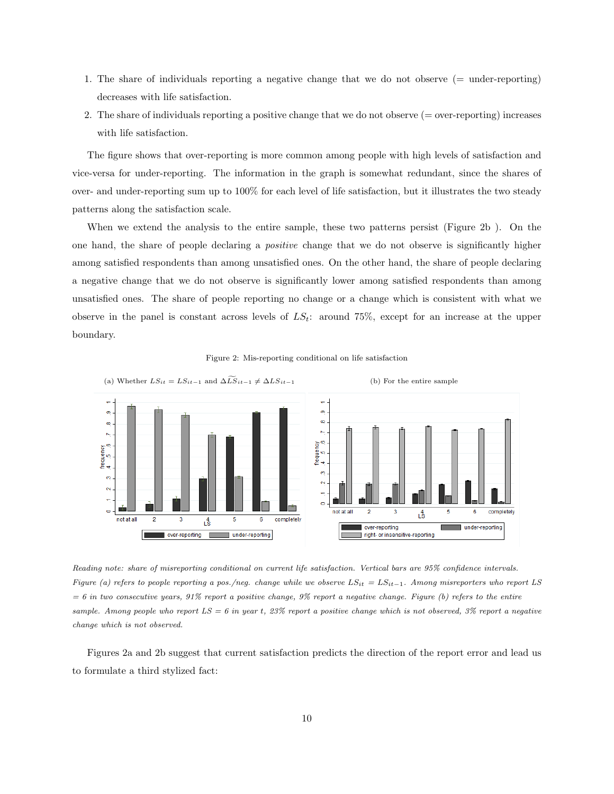- 1. The share of individuals reporting a negative change that we do not observe (= under-reporting) decreases with life satisfaction.
- 2. The share of individuals reporting a positive change that we do not observe (= over-reporting) increases with life satisfaction.

The figure shows that over-reporting is more common among people with high levels of satisfaction and vice-versa for under-reporting. The information in the graph is somewhat redundant, since the shares of over- and under-reporting sum up to 100% for each level of life satisfaction, but it illustrates the two steady patterns along the satisfaction scale.

When we extend the analysis to the entire sample, these two patterns persist (Figure [2b](#page-10-0) ). On the one hand, the share of people declaring a positive change that we do not observe is significantly higher among satisfied respondents than among unsatisfied ones. On the other hand, the share of people declaring a negative change that we do not observe is significantly lower among satisfied respondents than among unsatisfied ones. The share of people reporting no change or a change which is consistent with what we observe in the panel is constant across levels of  $LS_t$ : around 75%, except for an increase at the upper boundary.



<span id="page-10-0"></span>

Reading note: share of misreporting conditional on current life satisfaction. Vertical bars are 95% confidence intervals. Figure (a) refers to people reporting a pos./neg. change while we observe  $LS_{it} = LS_{it-1}$ . Among misreporters who report LS  $= 6$  in two consecutive years, 91% report a positive change, 9% report a negative change. Figure (b) refers to the entire sample. Among people who report  $LS = 6$  in year t, 23% report a positive change which is not observed, 3% report a negative change which is not observed.

Figures [2a](#page-10-0) and [2b](#page-10-0) suggest that current satisfaction predicts the direction of the report error and lead us to formulate a third stylized fact: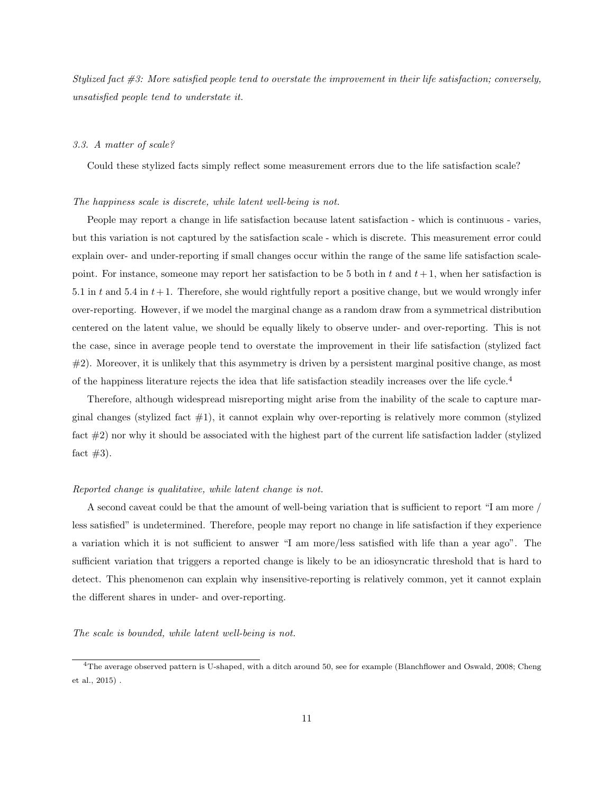Stylized fact  $\#3$ : More satisfied people tend to overstate the improvement in their life satisfaction; conversely, unsatisfied people tend to understate it.

#### <span id="page-11-0"></span>3.3. A matter of scale?

Could these stylized facts simply reflect some measurement errors due to the life satisfaction scale?

## The happiness scale is discrete, while latent well-being is not.

People may report a change in life satisfaction because latent satisfaction - which is continuous - varies, but this variation is not captured by the satisfaction scale - which is discrete. This measurement error could explain over- and under-reporting if small changes occur within the range of the same life satisfaction scalepoint. For instance, someone may report her satisfaction to be 5 both in t and  $t + 1$ , when her satisfaction is 5.1 in t and 5.4 in  $t+1$ . Therefore, she would rightfully report a positive change, but we would wrongly infer over-reporting. However, if we model the marginal change as a random draw from a symmetrical distribution centered on the latent value, we should be equally likely to observe under- and over-reporting. This is not the case, since in average people tend to overstate the improvement in their life satisfaction (stylized fact #2). Moreover, it is unlikely that this asymmetry is driven by a persistent marginal positive change, as most of the happiness literature rejects the idea that life satisfaction steadily increases over the life cycle.[4](#page-11-1)

Therefore, although widespread misreporting might arise from the inability of the scale to capture marginal changes (stylized fact  $#1$ ), it cannot explain why over-reporting is relatively more common (stylized fact #2) nor why it should be associated with the highest part of the current life satisfaction ladder (stylized fact  $#3$ ).

#### Reported change is qualitative, while latent change is not.

A second caveat could be that the amount of well-being variation that is sufficient to report "I am more / less satisfied" is undetermined. Therefore, people may report no change in life satisfaction if they experience a variation which it is not sufficient to answer "I am more/less satisfied with life than a year ago". The sufficient variation that triggers a reported change is likely to be an idiosyncratic threshold that is hard to detect. This phenomenon can explain why insensitive-reporting is relatively common, yet it cannot explain the different shares in under- and over-reporting.

The scale is bounded, while latent well-being is not.

<span id="page-11-1"></span><sup>&</sup>lt;sup>4</sup>The average observed pattern is U-shaped, with a ditch around 50, see for example [\(Blanchflower and Oswald, 2008;](#page-31-8) [Cheng](#page-31-9) [et al., 2015\)](#page-31-9) .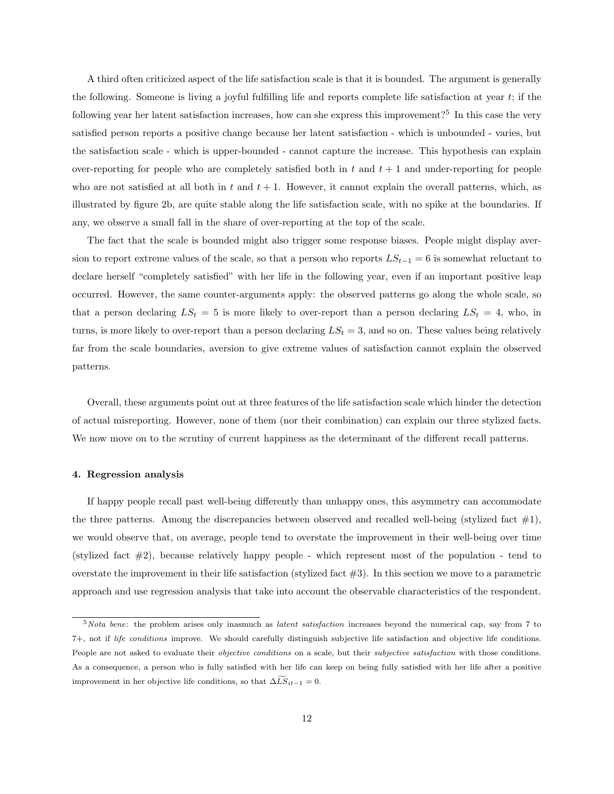A third often criticized aspect of the life satisfaction scale is that it is bounded. The argument is generally the following. Someone is living a joyful fulfilling life and reports complete life satisfaction at year  $t$ ; if the following year her latent satisfaction increases, how can she express this improvement?<sup>[5](#page-12-1)</sup> In this case the very satisfied person reports a positive change because her latent satisfaction - which is unbounded - varies, but the satisfaction scale - which is upper-bounded - cannot capture the increase. This hypothesis can explain over-reporting for people who are completely satisfied both in t and  $t + 1$  and under-reporting for people who are not satisfied at all both in t and  $t + 1$ . However, it cannot explain the overall patterns, which, as illustrated by figure [2b,](#page-10-0) are quite stable along the life satisfaction scale, with no spike at the boundaries. If any, we observe a small fall in the share of over-reporting at the top of the scale.

The fact that the scale is bounded might also trigger some response biases. People might display aversion to report extreme values of the scale, so that a person who reports  $LS_{t-1} = 6$  is somewhat reluctant to declare herself "completely satisfied" with her life in the following year, even if an important positive leap occurred. However, the same counter-arguments apply: the observed patterns go along the whole scale, so that a person declaring  $LS_t = 5$  is more likely to over-report than a person declaring  $LS_t = 4$ , who, in turns, is more likely to over-report than a person declaring  $LS<sub>t</sub> = 3$ , and so on. These values being relatively far from the scale boundaries, aversion to give extreme values of satisfaction cannot explain the observed patterns.

Overall, these arguments point out at three features of the life satisfaction scale which hinder the detection of actual misreporting. However, none of them (nor their combination) can explain our three stylized facts. We now move on to the scrutiny of current happiness as the determinant of the different recall patterns.

## <span id="page-12-0"></span>4. Regression analysis

If happy people recall past well-being differently than unhappy ones, this asymmetry can accommodate the three patterns. Among the discrepancies between observed and recalled well-being (stylized fact  $\#1$ ), we would observe that, on average, people tend to overstate the improvement in their well-being over time (stylized fact  $\#2$ ), because relatively happy people - which represent most of the population - tend to overstate the improvement in their life satisfaction (stylized fact  $\#3$ ). In this section we move to a parametric approach and use regression analysis that take into account the observable characteristics of the respondent.

<span id="page-12-1"></span> $5$ Nota bene: the problem arises only inasmuch as *latent satisfaction* increases beyond the numerical cap, say from 7 to 7+, not if life conditions improve. We should carefully distinguish subjective life satisfaction and objective life conditions. People are not asked to evaluate their *objective conditions* on a scale, but their *subjective satisfaction* with those conditions. As a consequence, a person who is fully satisfied with her life can keep on being fully satisfied with her life after a positive improvement in her objective life conditions, so that  $\Delta \widetilde{LS}_{it-1} = 0.$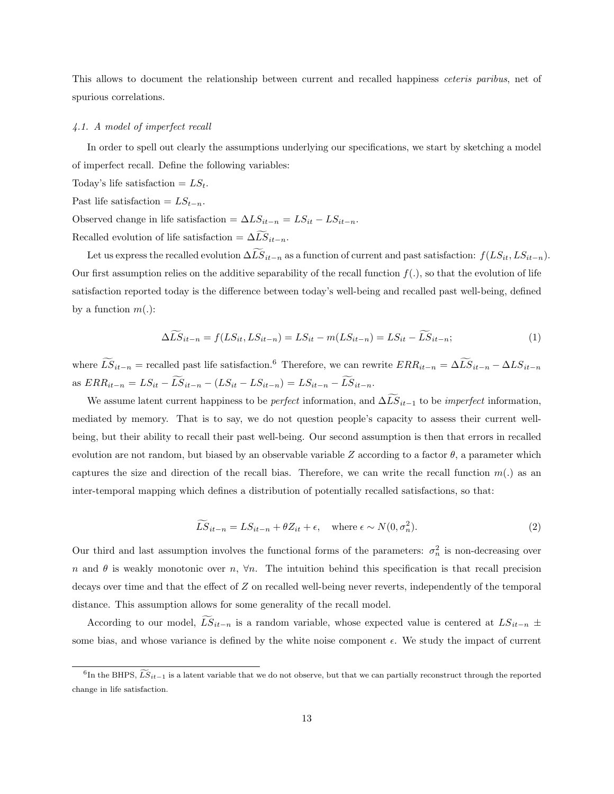This allows to document the relationship between current and recalled happiness *ceteris paribus*, net of spurious correlations.

## <span id="page-13-0"></span>4.1. A model of imperfect recall

In order to spell out clearly the assumptions underlying our specifications, we start by sketching a model of imperfect recall. Define the following variables:

- Today's life satisfaction  $= LS_t$ .
- Past life satisfaction =  $LS_{t-n}$ .

Observed change in life satisfaction =  $\Delta LS_{it-n} = LS_{it} - LS_{it-n}$ . Recalled evolution of life satisfaction =  $\Delta \tilde{LS}_{it-n}$ .

Let us express the recalled evolution  $\Delta \widetilde{LS}_{it-n}$  as a function of current and past satisfaction:  $f(LS_{it}, LS_{it-n})$ . Our first assumption relies on the additive separability of the recall function  $f(.)$ , so that the evolution of life satisfaction reported today is the difference between today's well-being and recalled past well-being, defined by a function  $m(.)$ :

$$
\Delta LS_{it-n} = f(LS_{it}, LS_{it-n}) = LS_{it} - m(LS_{it-n}) = LS_{it} - LS_{it-n};
$$
\n(1)

where  $\widetilde{LS}_{it-n}$  = recalled past life satisfaction.<sup>[6](#page-13-1)</sup> Therefore, we can rewrite  $ERR_{it-n} = \Delta \widetilde{LS}_{it-n} - \Delta LS_{it-n}$ as  $ERR_{it-n} = LS_{it} - \widetilde{LS}_{it-n} - (LS_{it} - LS_{it-n}) = LS_{it-n} - \widetilde{LS}_{it-n}.$ 

We assume latent current happiness to be *perfect* information, and  $\Delta \widetilde{LS}_{it-1}$  to be *imperfect* information, mediated by memory. That is to say, we do not question people's capacity to assess their current wellbeing, but their ability to recall their past well-being. Our second assumption is then that errors in recalled evolution are not random, but biased by an observable variable Z according to a factor  $\theta$ , a parameter which captures the size and direction of the recall bias. Therefore, we can write the recall function  $m(.)$  as an inter-temporal mapping which defines a distribution of potentially recalled satisfactions, so that:

<span id="page-13-2"></span>
$$
\widetilde{LS}_{it-n} = LS_{it-n} + \theta Z_{it} + \epsilon, \quad \text{where } \epsilon \sim N(0, \sigma_n^2). \tag{2}
$$

Our third and last assumption involves the functional forms of the parameters:  $\sigma_n^2$  is non-decreasing over n and  $\theta$  is weakly monotonic over n,  $\forall n$ . The intuition behind this specification is that recall precision decays over time and that the effect of Z on recalled well-being never reverts, independently of the temporal distance. This assumption allows for some generality of the recall model.

According to our model,  $\widetilde{LS}_{it-n}$  is a random variable, whose expected value is centered at  $LS_{it-n}$  ± some bias, and whose variance is defined by the white noise component  $\epsilon$ . We study the impact of current

<span id="page-13-1"></span><sup>&</sup>lt;sup>6</sup>In the BHPS,  $\widetilde{LS}_{it-1}$  is a latent variable that we do not observe, but that we can partially reconstruct through the reported change in life satisfaction.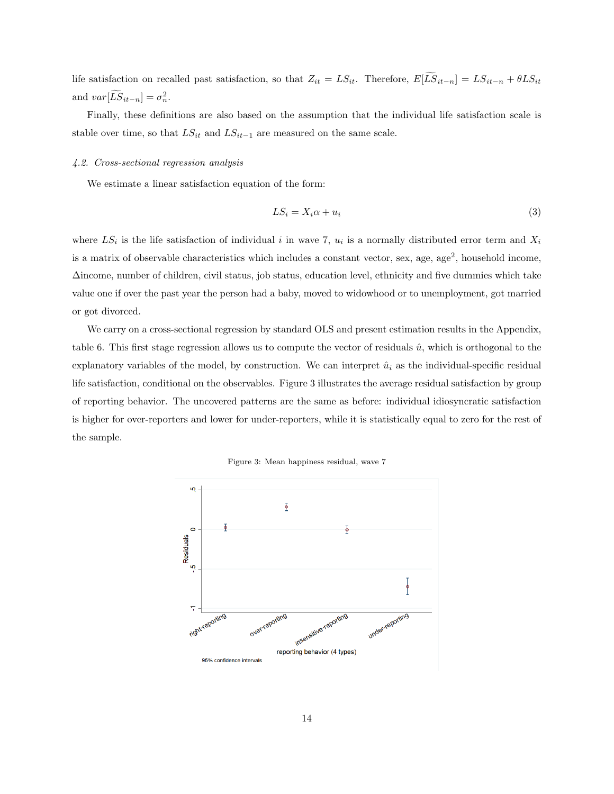life satisfaction on recalled past satisfaction, so that  $Z_{it} = LS_{it}$ . Therefore,  $E[\widetilde{LS}_{it-n}] = LS_{it-n} + \theta LS_{it}$ and  $var[\tilde{LS}_{it-n}] = \sigma_n^2$ .

Finally, these definitions are also based on the assumption that the individual life satisfaction scale is stable over time, so that  $LS_{it}$  and  $LS_{it-1}$  are measured on the same scale.

#### <span id="page-14-0"></span>4.2. Cross-sectional regression analysis

We estimate a linear satisfaction equation of the form:

$$
LS_i = X_i \alpha + u_i \tag{3}
$$

where  $LS_i$  is the life satisfaction of individual i in wave 7,  $u_i$  is a normally distributed error term and  $X_i$ is a matrix of observable characteristics which includes a constant vector, sex, age, age<sup>2</sup>, household income, ∆income, number of children, civil status, job status, education level, ethnicity and five dummies which take value one if over the past year the person had a baby, moved to widowhood or to unemployment, got married or got divorced.

We carry on a cross-sectional regression by standard OLS and present estimation results in the Appendix, table [6.](#page-28-1) This first stage regression allows us to compute the vector of residuals  $\hat{u}$ , which is orthogonal to the explanatory variables of the model, by construction. We can interpret  $\hat{u}_i$  as the individual-specific residual life satisfaction, conditional on the observables. Figure [3](#page-14-1) illustrates the average residual satisfaction by group of reporting behavior. The uncovered patterns are the same as before: individual idiosyncratic satisfaction is higher for over-reporters and lower for under-reporters, while it is statistically equal to zero for the rest of the sample.



<span id="page-14-1"></span>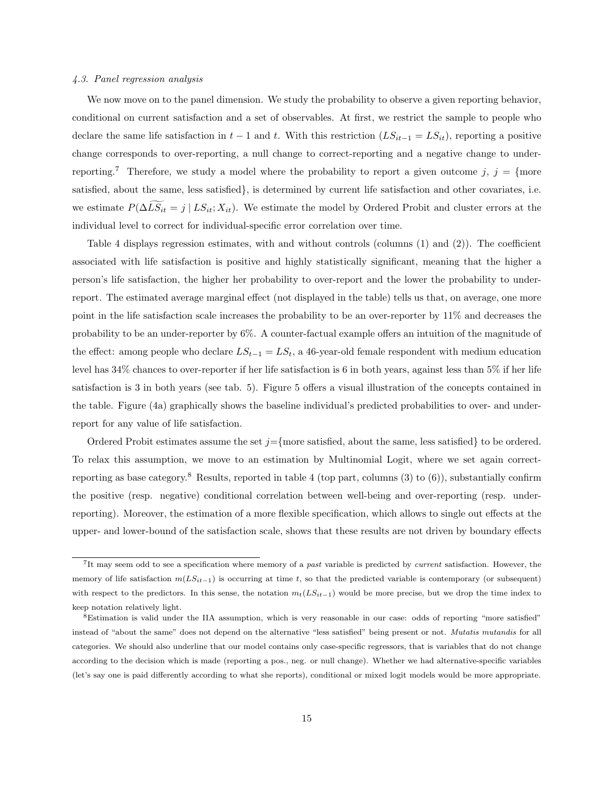#### <span id="page-15-0"></span>4.3. Panel regression analysis

We now move on to the panel dimension. We study the probability to observe a given reporting behavior, conditional on current satisfaction and a set of observables. At first, we restrict the sample to people who declare the same life satisfaction in  $t-1$  and t. With this restriction  $(LS_{it-1} = LS_{it})$ , reporting a positive change corresponds to over-reporting, a null change to correct-reporting and a negative change to under-reporting.<sup>[7](#page-15-1)</sup> Therefore, we study a model where the probability to report a given outcome  $j, j = \{$ more satisfied, about the same, less satisfied}, is determined by current life satisfaction and other covariates, i.e. we estimate  $P(\Delta LS_{it} = j \mid LS_{it}; X_{it})$ . We estimate the model by Ordered Probit and cluster errors at the individual level to correct for individual-specific error correlation over time.

Table [4](#page-18-0) displays regression estimates, with and without controls (columns (1) and (2)). The coefficient associated with life satisfaction is positive and highly statistically significant, meaning that the higher a person's life satisfaction, the higher her probability to over-report and the lower the probability to underreport. The estimated average marginal effect (not displayed in the table) tells us that, on average, one more point in the life satisfaction scale increases the probability to be an over-reporter by 11% and decreases the probability to be an under-reporter by 6%. A counter-factual example offers an intuition of the magnitude of the effect: among people who declare  $LS_{t-1} = LS_t$ , a 46-year-old female respondent with medium education level has 34% chances to over-reporter if her life satisfaction is 6 in both years, against less than 5% if her life satisfaction is 3 in both years (see tab. [5\)](#page-19-0). Figure [5](#page-17-0) offers a visual illustration of the concepts contained in the table. Figure [\(4a\)](#page-17-1) graphically shows the baseline individual's predicted probabilities to over- and underreport for any value of life satisfaction.

Ordered Probit estimates assume the set  $j =$ {more satisfied, about the same, less satisfied} to be ordered. To relax this assumption, we move to an estimation by Multinomial Logit, where we set again correct-reporting as base category.<sup>[8](#page-15-2)</sup> Results, reported in table [4](#page-18-0) (top part, columns  $(3)$  to  $(6)$ ), substantially confirm the positive (resp. negative) conditional correlation between well-being and over-reporting (resp. underreporting). Moreover, the estimation of a more flexible specification, which allows to single out effects at the upper- and lower-bound of the satisfaction scale, shows that these results are not driven by boundary effects

<span id="page-15-1"></span><sup>&</sup>lt;sup>7</sup>It may seem odd to see a specification where memory of a past variable is predicted by current satisfaction. However, the memory of life satisfaction  $m(LS_{it-1})$  is occurring at time t, so that the predicted variable is contemporary (or subsequent) with respect to the predictors. In this sense, the notation  $m_t(LS_{it-1})$  would be more precise, but we drop the time index to keep notation relatively light.

<span id="page-15-2"></span><sup>8</sup>Estimation is valid under the IIA assumption, which is very reasonable in our case: odds of reporting "more satisfied" instead of "about the same" does not depend on the alternative "less satisfied" being present or not. Mutatis mutandis for all categories. We should also underline that our model contains only case-specific regressors, that is variables that do not change according to the decision which is made (reporting a pos., neg. or null change). Whether we had alternative-specific variables (let's say one is paid differently according to what she reports), conditional or mixed logit models would be more appropriate.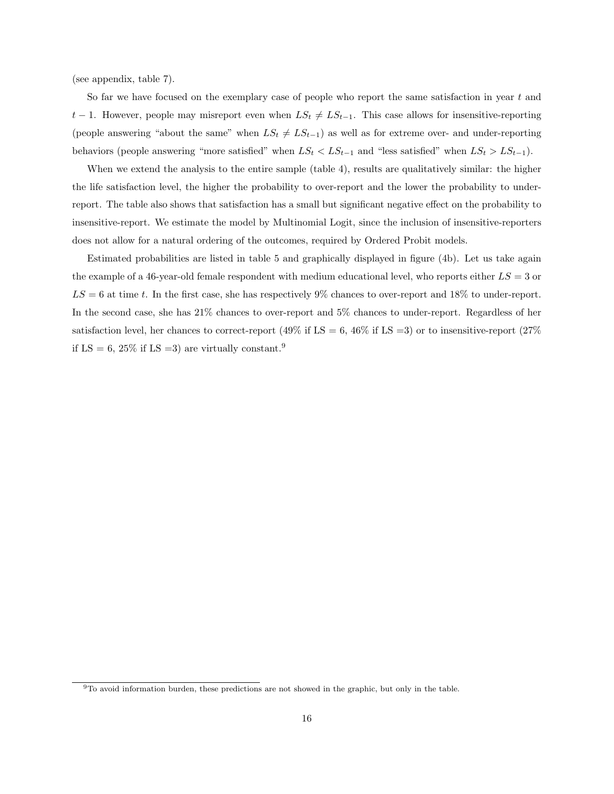(see appendix, table [7\)](#page-29-0).

So far we have focused on the exemplary case of people who report the same satisfaction in year t and  $t-1$ . However, people may misreport even when  $LS_t \neq LS_{t-1}$ . This case allows for insensitive-reporting (people answering "about the same" when  $LS_t \neq LS_{t-1}$ ) as well as for extreme over- and under-reporting behaviors (people answering "more satisfied" when  $LS_t < LS_{t-1}$  and "less satisfied" when  $LS_t > LS_{t-1}$ ).

When we extend the analysis to the entire sample (table [4\)](#page-18-0), results are qualitatively similar: the higher the life satisfaction level, the higher the probability to over-report and the lower the probability to underreport. The table also shows that satisfaction has a small but significant negative effect on the probability to insensitive-report. We estimate the model by Multinomial Logit, since the inclusion of insensitive-reporters does not allow for a natural ordering of the outcomes, required by Ordered Probit models.

Estimated probabilities are listed in table [5](#page-19-0) and graphically displayed in figure [\(4b\)](#page-17-1). Let us take again the example of a 46-year-old female respondent with medium educational level, who reports either  $LS = 3$  or  $LS = 6$  at time t. In the first case, she has respectively 9% chances to over-report and 18% to under-report. In the second case, she has 21% chances to over-report and 5% chances to under-report. Regardless of her satisfaction level, her chances to correct-report (49% if LS = 6, 46% if LS = 3) or to insensitive-report (27% if LS = 6, 25% if LS = 3) are virtually constant.<sup>[9](#page-16-0)</sup>

<span id="page-16-0"></span><sup>9</sup>To avoid information burden, these predictions are not showed in the graphic, but only in the table.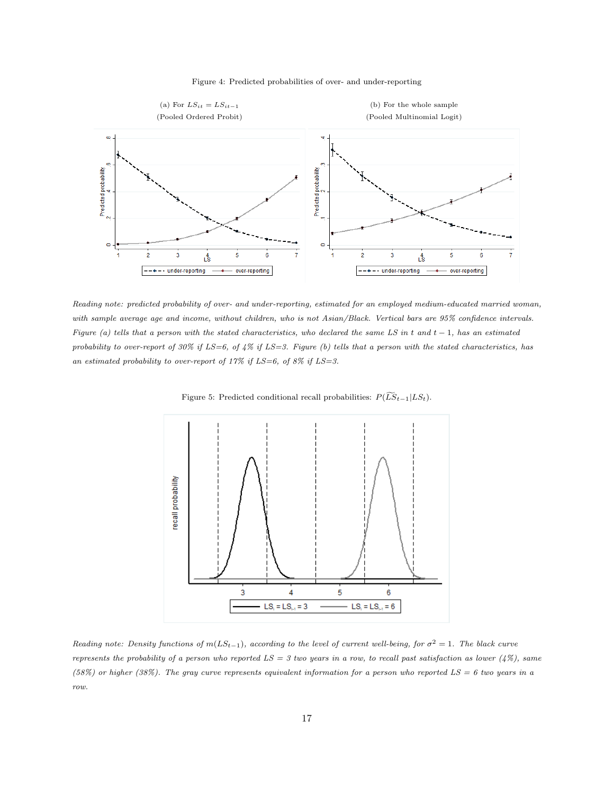

<span id="page-17-1"></span>

<span id="page-17-0"></span>Reading note: predicted probability of over- and under-reporting, estimated for an employed medium-educated married woman, with sample average age and income, without children, who is not Asian/Black. Vertical bars are 95% confidence intervals. Figure (a) tells that a person with the stated characteristics, who declared the same LS in t and t – 1, has an estimated probability to over-report of 30% if  $LS=6$ , of 4% if  $LS=3$ . Figure (b) tells that a person with the stated characteristics, has an estimated probability to over-report of  $17\%$  if  $LS=6$ , of  $8\%$  if  $LS=3$ .



Figure 5: Predicted conditional recall probabilities:  $P(\widetilde{LS}_{t-1}|LS_t)$ .

Reading note: Density functions of  $m(LS_{t-1})$ , according to the level of current well-being, for  $\sigma^2 = 1$ . The black curve represents the probability of a person who reported  $LS = 3$  two years in a row, to recall past satisfaction as lower (4%), same (58%) or higher (38%). The gray curve represents equivalent information for a person who reported  $LS = 6$  two years in a row.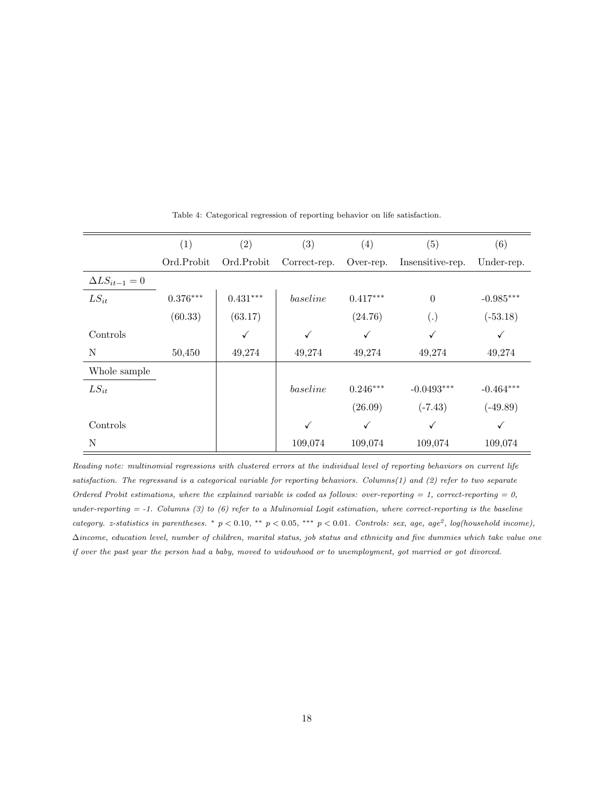<span id="page-18-0"></span>

|                        | (1)        | (2)          | (3)          | (4)        | $\left( 5\right)$ | (6)          |
|------------------------|------------|--------------|--------------|------------|-------------------|--------------|
|                        | Ord.Probit | Ord.Probit   | Correct-rep. | Over-rep.  | Insensitive-rep.  | Under-rep.   |
| $\Delta LS_{it-1} = 0$ |            |              |              |            |                   |              |
| $LS_{it}$              | $0.376***$ | $0.431***$   | baseline     | $0.417***$ | $\boldsymbol{0}$  | $-0.985***$  |
|                        | (60.33)    | (63.17)      |              | (24.76)    | (.)               | $(-53.18)$   |
| Controls               |            | $\checkmark$ | $\checkmark$ | ✓          | √                 | ✓            |
| N                      | 50,450     | 49,274       | 49,274       | 49,274     | 49,274            | 49,274       |
| Whole sample           |            |              |              |            |                   |              |
| $LS_{it}$              |            |              | baseline     | $0.246***$ | $-0.0493***$      | $-0.464***$  |
|                        |            |              |              | (26.09)    | $(-7.43)$         | $(-49.89)$   |
| Controls               |            |              | ✓            | ✓          | $\checkmark$      | $\checkmark$ |
| N                      |            |              | 109,074      | 109,074    | 109,074           | 109,074      |

Table 4: Categorical regression of reporting behavior on life satisfaction.

Reading note: multinomial regressions with clustered errors at the individual level of reporting behaviors on current life satisfaction. The regressand is a categorical variable for reporting behaviors. Columns(1) and (2) refer to two separate Ordered Probit estimations, where the explained variable is coded as follows: over-reporting = 1, correct-reporting = 0, under-reporting  $= -1$ . Columns (3) to (6) refer to a Mulinomial Logit estimation, where correct-reporting is the baseline category. z-statistics in parentheses. \*  $p < 0.10$ , \*\*  $p < 0.05$ , \*\*\*  $p < 0.01$ . Controls: sex, age, age<sup>2</sup>, log(household income), ∆income, education level, number of children, marital status, job status and ethnicity and five dummies which take value one if over the past year the person had a baby, moved to widowhood or to unemployment, got married or got divorced.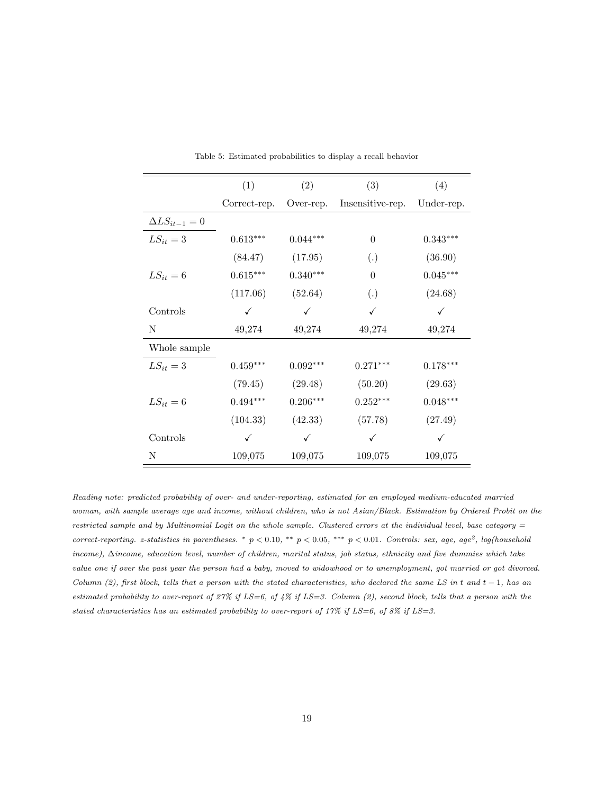<span id="page-19-0"></span>

|                        | (1)          | (2)          | (3)               | (4)        |
|------------------------|--------------|--------------|-------------------|------------|
|                        | Correct-rep. | Over-rep.    | Insensitive-rep.  | Under-rep. |
| $\Delta LS_{it-1} = 0$ |              |              |                   |            |
| $LS_{it} = 3$          | $0.613***$   | $0.044***$   | $\theta$          | $0.343***$ |
|                        | (84.47)      | (17.95)      | $\left( .\right)$ | (36.90)    |
| $LS_{it} = 6$          | $0.615***$   | $0.340***$   | $\theta$          | $0.045***$ |
|                        | (117.06)     | (52.64)      | $\left( .\right)$ | (24.68)    |
| Controls               | ✓            | ✓            | ✓                 | ✓          |
| N                      | 49,274       | 49,274       | 49,274            | 49,274     |
| Whole sample           |              |              |                   |            |
| $LS_{it} = 3$          | $0.459***$   | $0.092***$   | $0.271***$        | $0.178***$ |
|                        | (79.45)      | (29.48)      | (50.20)           | (29.63)    |
| $LS_{it} = 6$          | $0.494***$   | $0.206***$   | $0.252***$        | $0.048***$ |
|                        | (104.33)     | (42.33)      | (57.78)           | (27.49)    |
| Controls               | $\checkmark$ | $\checkmark$ | ✓                 | ✓          |
| Ν                      | 109,075      | 109,075      | 109,075           | 109,075    |

Table 5: Estimated probabilities to display a recall behavior

Reading note: predicted probability of over- and under-reporting, estimated for an employed medium-educated married woman, with sample average age and income, without children, who is not Asian/Black. Estimation by Ordered Probit on the restricted sample and by Multinomial Logit on the whole sample. Clustered errors at the individual level, base category = correct-reporting. z-statistics in parentheses. \*  $p < 0.10$ , \*\*  $p < 0.05$ , \*\*\*  $p < 0.01$ . Controls: sex, age, age<sup>2</sup>, log(household income), ∆income, education level, number of children, marital status, job status, ethnicity and five dummies which take value one if over the past year the person had a baby, moved to widowhood or to unemployment, got married or got divorced. Column (2), first block, tells that a person with the stated characteristics, who declared the same LS in t and  $t - 1$ , has an estimated probability to over-report of  $27\%$  if  $LS=6$ , of  $4\%$  if  $LS=3$ . Column (2), second block, tells that a person with the stated characteristics has an estimated probability to over-report of 17% if  $LS=6$ , of 8% if  $LS=3$ .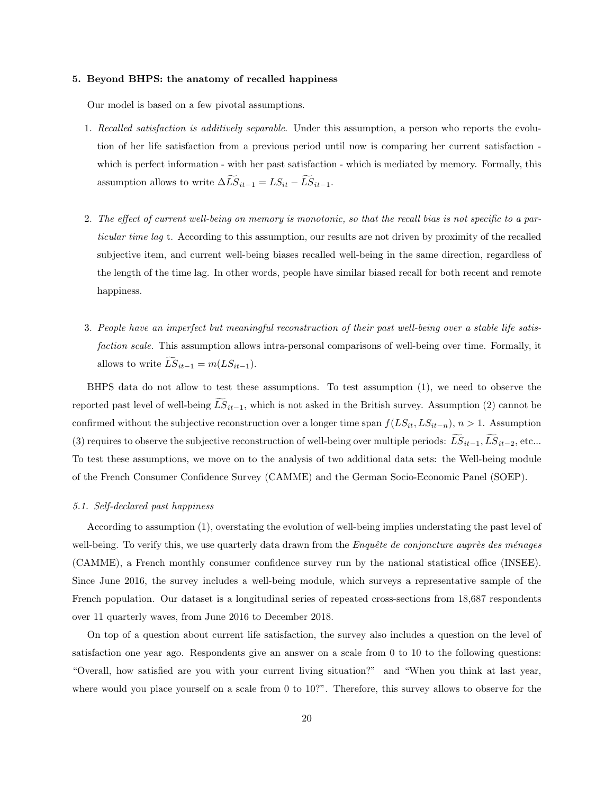### <span id="page-20-0"></span>5. Beyond BHPS: the anatomy of recalled happiness

Our model is based on a few pivotal assumptions.

- <span id="page-20-2"></span>1. Recalled satisfaction is additively separable. Under this assumption, a person who reports the evolution of her life satisfaction from a previous period until now is comparing her current satisfaction which is perfect information - with her past satisfaction - which is mediated by memory. Formally, this assumption allows to write  $\Delta \widetilde{LS}_{it-1} = LS_{it} - \widetilde{LS}_{it-1}$ .
- <span id="page-20-3"></span>2. The effect of current well-being on memory is monotonic, so that the recall bias is not specific to a particular time lag t. According to this assumption, our results are not driven by proximity of the recalled subjective item, and current well-being biases recalled well-being in the same direction, regardless of the length of the time lag. In other words, people have similar biased recall for both recent and remote happiness.
- <span id="page-20-4"></span>3. People have an imperfect but meaningful reconstruction of their past well-being over a stable life satisfaction scale. This assumption allows intra-personal comparisons of well-being over time. Formally, it allows to write  $\widetilde{LS}_{it-1} = m(LS_{it-1}).$

BHPS data do not allow to test these assumptions. To test assumption [\(1\)](#page-20-2), we need to observe the reported past level of well-being  $\tilde{LS}_{it-1}$ , which is not asked in the British survey. Assumption [\(2\)](#page-20-3) cannot be confirmed without the subjective reconstruction over a longer time span  $f(LS_{it}, LS_{it-n}), n > 1$ . Assumption [\(3\)](#page-20-4) requires to observe the subjective reconstruction of well-being over multiple periods:  $\widetilde{LS}_{it-1}, \widetilde{LS}_{it-2},$  etc... To test these assumptions, we move on to the analysis of two additional data sets: the Well-being module of the French Consumer Confidence Survey (CAMME) and the German Socio-Economic Panel (SOEP).

### <span id="page-20-1"></span>5.1. Self-declared past happiness

According to assumption [\(1\)](#page-20-2), overstating the evolution of well-being implies understating the past level of well-being. To verify this, we use quarterly data drawn from the *Enquête de conjoncture auprès des ménages* (CAMME), a French monthly consumer confidence survey run by the national statistical office (INSEE). Since June 2016, the survey includes a well-being module, which surveys a representative sample of the French population. Our dataset is a longitudinal series of repeated cross-sections from 18,687 respondents over 11 quarterly waves, from June 2016 to December 2018.

On top of a question about current life satisfaction, the survey also includes a question on the level of satisfaction one year ago. Respondents give an answer on a scale from 0 to 10 to the following questions: "Overall, how satisfied are you with your current living situation?" and "When you think at last year, where would you place yourself on a scale from 0 to 10?". Therefore, this survey allows to observe for the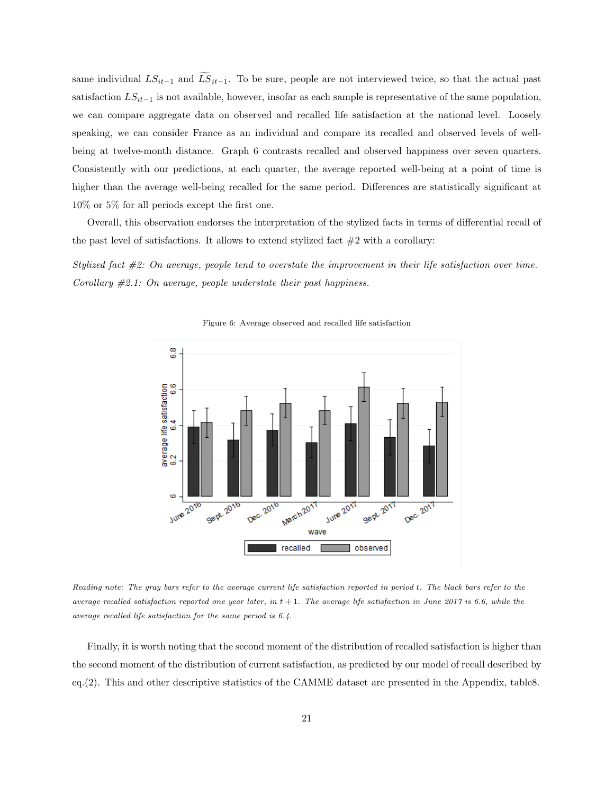same individual  $LS_{it-1}$  and  $LS_{it-1}$ . To be sure, people are not interviewed twice, so that the actual past satisfaction  $LS_{it-1}$  is not available, however, insofar as each sample is representative of the same population, we can compare aggregate data on observed and recalled life satisfaction at the national level. Loosely speaking, we can consider France as an individual and compare its recalled and observed levels of wellbeing at twelve-month distance. Graph [6](#page-21-0) contrasts recalled and observed happiness over seven quarters. Consistently with our predictions, at each quarter, the average reported well-being at a point of time is higher than the average well-being recalled for the same period. Differences are statistically significant at 10% or 5% for all periods except the first one.

Overall, this observation endorses the interpretation of the stylized facts in terms of differential recall of the past level of satisfactions. It allows to extend stylized fact  $#2$  with a corollary:

<span id="page-21-0"></span>Stylized fact #2: On average, people tend to overstate the improvement in their life satisfaction over time. Corollary  $\#2.1$ : On average, people understate their past happiness.



Figure 6: Average observed and recalled life satisfaction

Reading note: The gray bars refer to the average current life satisfaction reported in period t. The black bars refer to the average recalled satisfaction reported one year later, in  $t + 1$ . The average life satisfaction in June 2017 is 6.6, while the average recalled life satisfaction for the same period is 6.4.

Finally, it is worth noting that the second moment of the distribution of recalled satisfaction is higher than the second moment of the distribution of current satisfaction, as predicted by our model of recall described by eq.[\(2\)](#page-13-2). This and other descriptive statistics of the CAMME dataset are presented in the Appendix, tabl[e8.](#page-30-0)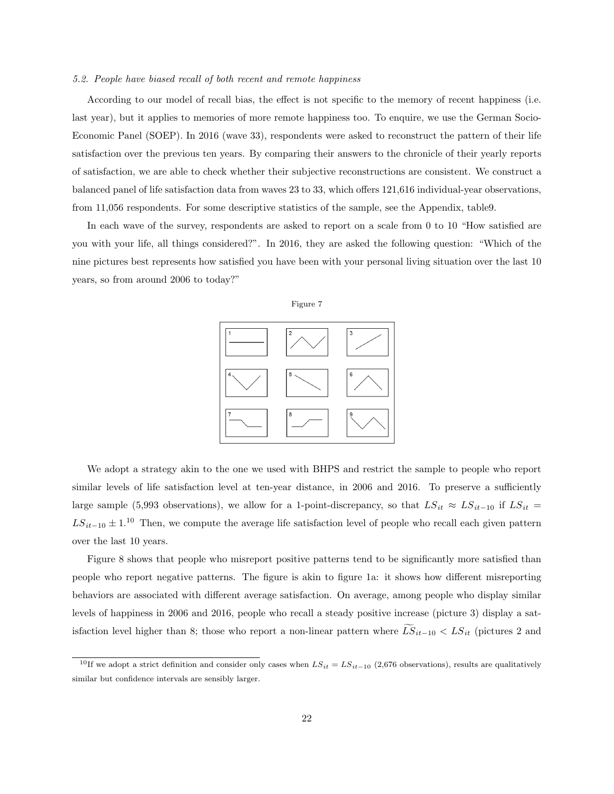#### <span id="page-22-0"></span>5.2. People have biased recall of both recent and remote happiness

According to our model of recall bias, the effect is not specific to the memory of recent happiness (i.e. last year), but it applies to memories of more remote happiness too. To enquire, we use the German Socio-Economic Panel (SOEP). In 2016 (wave 33), respondents were asked to reconstruct the pattern of their life satisfaction over the previous ten years. By comparing their answers to the chronicle of their yearly reports of satisfaction, we are able to check whether their subjective reconstructions are consistent. We construct a balanced panel of life satisfaction data from waves 23 to 33, which offers 121,616 individual-year observations, from 11,056 respondents. For some descriptive statistics of the sample, see the Appendix, tabl[e9.](#page-30-1)

<span id="page-22-2"></span>In each wave of the survey, respondents are asked to report on a scale from 0 to 10 "How satisfied are you with your life, all things considered?". In 2016, they are asked the following question: "Which of the nine pictures best represents how satisfied you have been with your personal living situation over the last 10 years, so from around 2006 to today?"





We adopt a strategy akin to the one we used with BHPS and restrict the sample to people who report similar levels of life satisfaction level at ten-year distance, in 2006 and 2016. To preserve a sufficiently large sample (5,993 observations), we allow for a 1-point-discrepancy, so that  $LS_{it} \approx LS_{it-10}$  if  $LS_{it}$  =  $LS_{it-10} \pm 1.10$  $LS_{it-10} \pm 1.10$  $LS_{it-10} \pm 1.10$  Then, we compute the average life satisfaction level of people who recall each given pattern over the last 10 years.

Figure [8](#page-23-1) shows that people who misreport positive patterns tend to be significantly more satisfied than people who report negative patterns. The figure is akin to figure [1a:](#page-9-0) it shows how different misreporting behaviors are associated with different average satisfaction. On average, among people who display similar levels of happiness in 2006 and 2016, people who recall a steady positive increase (picture 3) display a satisfaction level higher than 8; those who report a non-linear pattern where  $\widetilde{LS}_{it-10} < LS_{it}$  (pictures 2 and

<span id="page-22-1"></span><sup>&</sup>lt;sup>10</sup>If we adopt a strict definition and consider only cases when  $LS_{it} = LS_{it-10}$  (2,676 observations), results are qualitatively similar but confidence intervals are sensibly larger.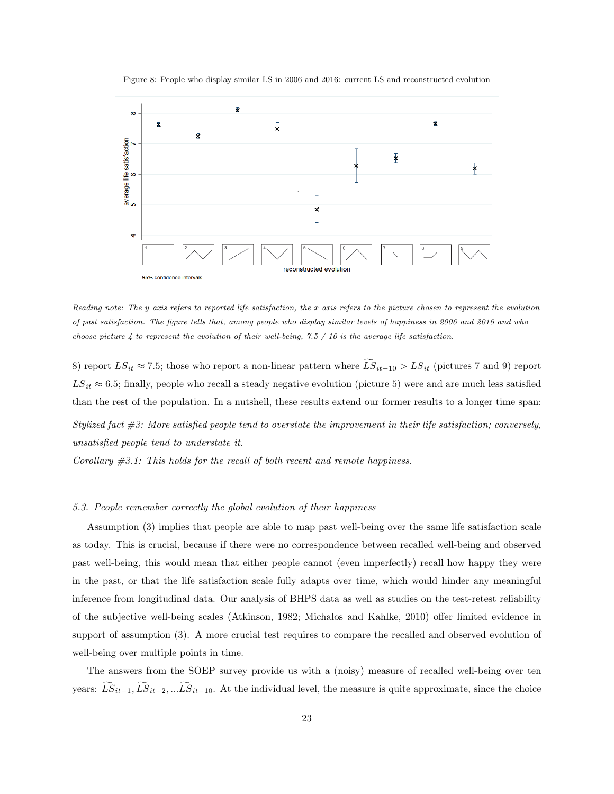Figure 8: People who display similar LS in 2006 and 2016: current LS and reconstructed evolution

<span id="page-23-1"></span>

Reading note: The y axis refers to reported life satisfaction, the x axis refers to the picture chosen to represent the evolution of past satisfaction. The figure tells that, among people who display similar levels of happiness in 2006 and 2016 and who choose picture  $4$  to represent the evolution of their well-being, 7.5 / 10 is the average life satisfaction.

8) report  $LS_{it} \approx 7.5$ ; those who report a non-linear pattern where  $\widetilde{LS}_{it-10} > LS_{it}$  (pictures 7 and 9) report  $LS_{it} \approx 6.5$ ; finally, people who recall a steady negative evolution (picture 5) were and are much less satisfied than the rest of the population. In a nutshell, these results extend our former results to a longer time span: Stylized fact #3: More satisfied people tend to overstate the improvement in their life satisfaction; conversely, unsatisfied people tend to understate it.

Corollary  $#3.1$ : This holds for the recall of both recent and remote happiness.

## <span id="page-23-0"></span>5.3. People remember correctly the global evolution of their happiness

Assumption [\(3\)](#page-20-4) implies that people are able to map past well-being over the same life satisfaction scale as today. This is crucial, because if there were no correspondence between recalled well-being and observed past well-being, this would mean that either people cannot (even imperfectly) recall how happy they were in the past, or that the life satisfaction scale fully adapts over time, which would hinder any meaningful inference from longitudinal data. Our analysis of BHPS data as well as studies on the test-retest reliability of the subjective well-being scales [\(Atkinson, 1982;](#page-31-4) [Michalos and Kahlke, 2010\)](#page-32-4) offer limited evidence in support of assumption [\(3\)](#page-20-4). A more crucial test requires to compare the recalled and observed evolution of well-being over multiple points in time.

The answers from the SOEP survey provide us with a (noisy) measure of recalled well-being over ten years:  $\widetilde{LS}_{it-1}, \widetilde{LS}_{it-2}, \ldots \widetilde{LS}_{it-10}$ . At the individual level, the measure is quite approximate, since the choice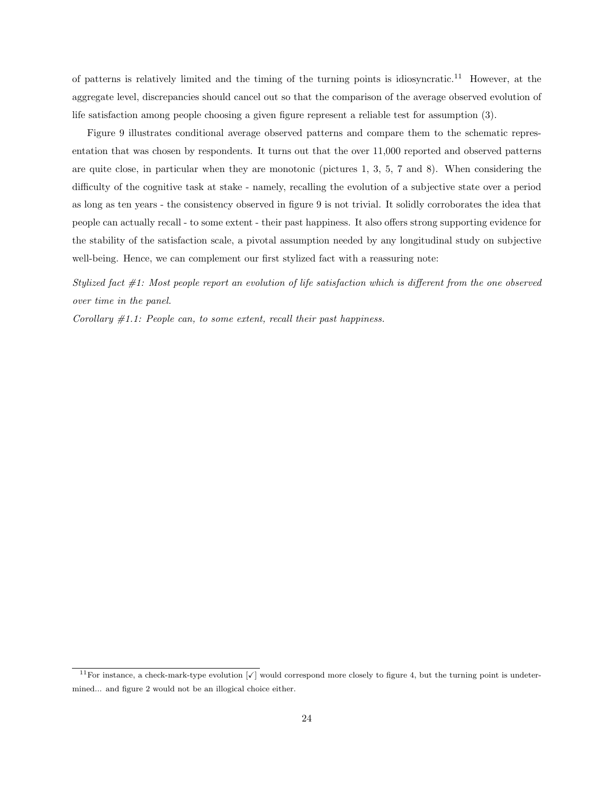of patterns is relatively limited and the timing of the turning points is idiosyncratic.[11](#page-24-0) However, at the aggregate level, discrepancies should cancel out so that the comparison of the average observed evolution of life satisfaction among people choosing a given figure represent a reliable test for assumption [\(3\)](#page-20-4).

Figure [9](#page-25-0) illustrates conditional average observed patterns and compare them to the schematic representation that was chosen by respondents. It turns out that the over 11,000 reported and observed patterns are quite close, in particular when they are monotonic (pictures 1, 3, 5, 7 and 8). When considering the difficulty of the cognitive task at stake - namely, recalling the evolution of a subjective state over a period as long as ten years - the consistency observed in figure [9](#page-25-0) is not trivial. It solidly corroborates the idea that people can actually recall - to some extent - their past happiness. It also offers strong supporting evidence for the stability of the satisfaction scale, a pivotal assumption needed by any longitudinal study on subjective well-being. Hence, we can complement our first stylized fact with a reassuring note:

Stylized fact #1: Most people report an evolution of life satisfaction which is different from the one observed over time in the panel.

Corollary  $#1.1$ : People can, to some extent, recall their past happiness.

<span id="page-24-0"></span><sup>&</sup>lt;sup>11</sup>For instance, a check-mark-type evolution  $\lceil \sqrt{\ } \rceil$  would correspond more closely to figure 4, but the turning point is undetermined... and figure 2 would not be an illogical choice either.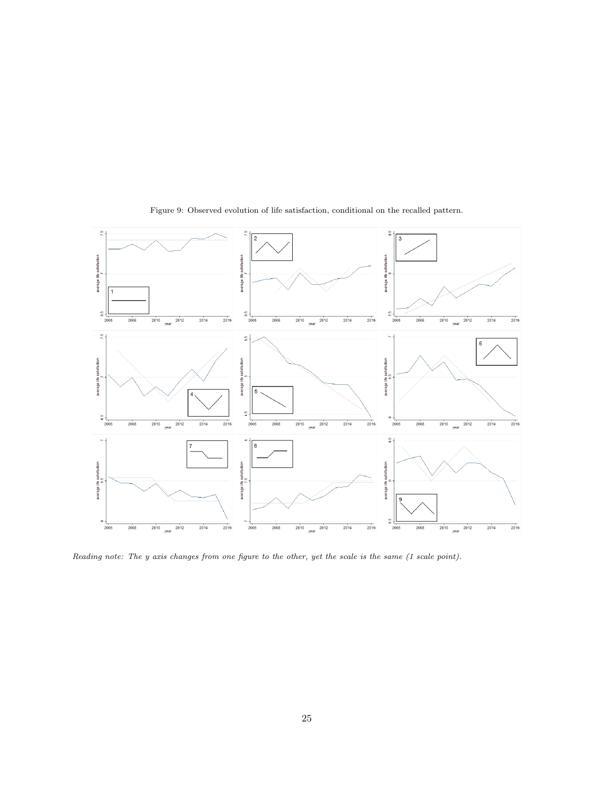<span id="page-25-0"></span>

Figure 9: Observed evolution of life satisfaction, conditional on the recalled pattern.

Reading note: The y axis changes from one figure to the other, yet the scale is the same (1 scale point).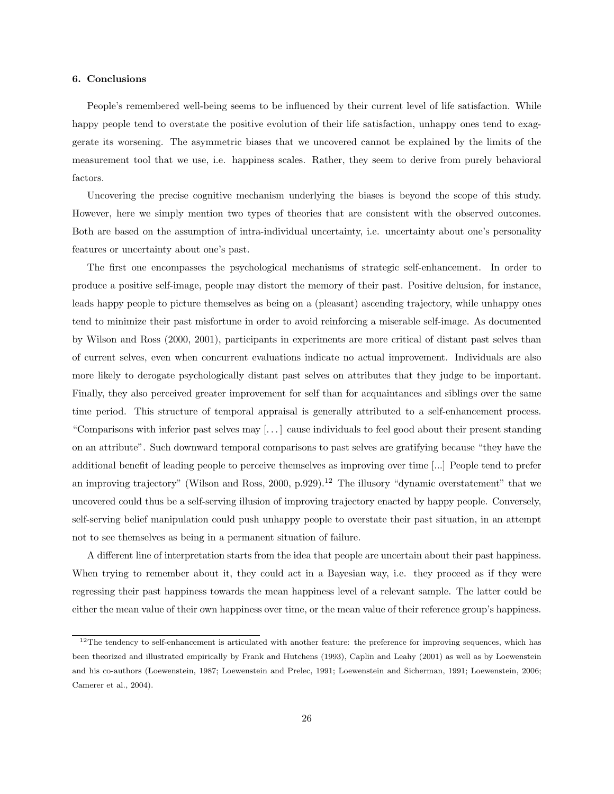#### <span id="page-26-0"></span>6. Conclusions

People's remembered well-being seems to be influenced by their current level of life satisfaction. While happy people tend to overstate the positive evolution of their life satisfaction, unhappy ones tend to exaggerate its worsening. The asymmetric biases that we uncovered cannot be explained by the limits of the measurement tool that we use, i.e. happiness scales. Rather, they seem to derive from purely behavioral factors.

Uncovering the precise cognitive mechanism underlying the biases is beyond the scope of this study. However, here we simply mention two types of theories that are consistent with the observed outcomes. Both are based on the assumption of intra-individual uncertainty, i.e. uncertainty about one's personality features or uncertainty about one's past.

The first one encompasses the psychological mechanisms of strategic self-enhancement. In order to produce a positive self-image, people may distort the memory of their past. Positive delusion, for instance, leads happy people to picture themselves as being on a (pleasant) ascending trajectory, while unhappy ones tend to minimize their past misfortune in order to avoid reinforcing a miserable self-image. As documented by [Wilson and Ross](#page-32-0) [\(2000,](#page-32-0) [2001\)](#page-32-5), participants in experiments are more critical of distant past selves than of current selves, even when concurrent evaluations indicate no actual improvement. Individuals are also more likely to derogate psychologically distant past selves on attributes that they judge to be important. Finally, they also perceived greater improvement for self than for acquaintances and siblings over the same time period. This structure of temporal appraisal is generally attributed to a self-enhancement process. "Comparisons with inferior past selves may [. . . ] cause individuals to feel good about their present standing on an attribute". Such downward temporal comparisons to past selves are gratifying because "they have the additional benefit of leading people to perceive themselves as improving over time [...] People tend to prefer an improving trajectory" [\(Wilson and Ross, 2000,](#page-32-0) p.929).<sup>[12](#page-26-1)</sup> The illusory "dynamic overstatement" that we uncovered could thus be a self-serving illusion of improving trajectory enacted by happy people. Conversely, self-serving belief manipulation could push unhappy people to overstate their past situation, in an attempt not to see themselves as being in a permanent situation of failure.

A different line of interpretation starts from the idea that people are uncertain about their past happiness. When trying to remember about it, they could act in a Bayesian way, i.e. they proceed as if they were regressing their past happiness towards the mean happiness level of a relevant sample. The latter could be either the mean value of their own happiness over time, or the mean value of their reference group's happiness.

<span id="page-26-1"></span> $12$ The tendency to self-enhancement is articulated with another feature: the preference for improving sequences, which has been theorized and illustrated empirically by [Frank and Hutchens](#page-31-10) [\(1993\)](#page-31-10), [Caplin and Leahy](#page-31-11) [\(2001\)](#page-31-11) as well as by Loewenstein and his co-authors [\(Loewenstein, 1987;](#page-31-12) [Loewenstein and Prelec, 1991;](#page-32-6) [Loewenstein and Sicherman, 1991;](#page-32-7) [Loewenstein, 2006;](#page-32-8) [Camerer et al., 2004\)](#page-31-13).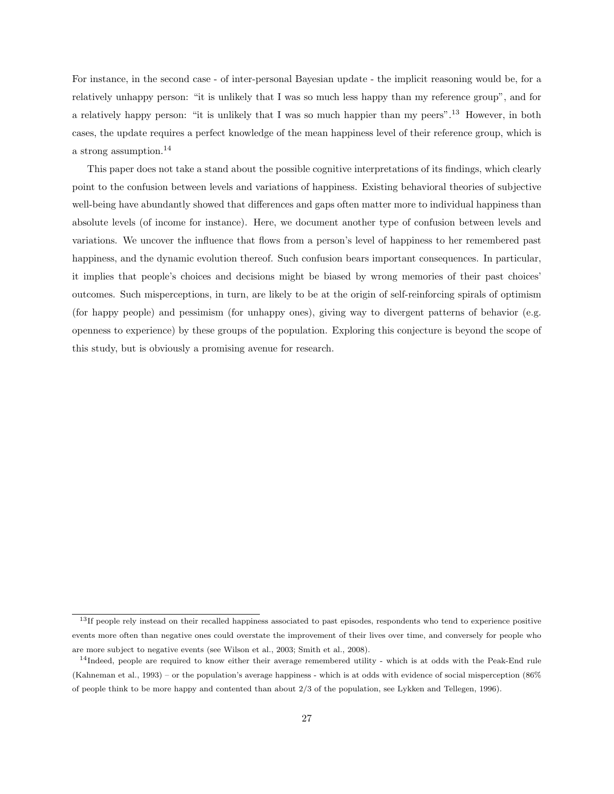For instance, in the second case - of inter-personal Bayesian update - the implicit reasoning would be, for a relatively unhappy person: "it is unlikely that I was so much less happy than my reference group", and for a relatively happy person: "it is unlikely that I was so much happier than my peers".[13](#page-27-0) However, in both cases, the update requires a perfect knowledge of the mean happiness level of their reference group, which is a strong assumption.[14](#page-27-1)

This paper does not take a stand about the possible cognitive interpretations of its findings, which clearly point to the confusion between levels and variations of happiness. Existing behavioral theories of subjective well-being have abundantly showed that differences and gaps often matter more to individual happiness than absolute levels (of income for instance). Here, we document another type of confusion between levels and variations. We uncover the influence that flows from a person's level of happiness to her remembered past happiness, and the dynamic evolution thereof. Such confusion bears important consequences. In particular, it implies that people's choices and decisions might be biased by wrong memories of their past choices' outcomes. Such misperceptions, in turn, are likely to be at the origin of self-reinforcing spirals of optimism (for happy people) and pessimism (for unhappy ones), giving way to divergent patterns of behavior (e.g. openness to experience) by these groups of the population. Exploring this conjecture is beyond the scope of this study, but is obviously a promising avenue for research.

<span id="page-27-0"></span> $13$ If people rely instead on their recalled happiness associated to past episodes, respondents who tend to experience positive events more often than negative ones could overstate the improvement of their lives over time, and conversely for people who are more subject to negative events (see [Wilson et al., 2003;](#page-32-9) [Smith et al., 2008\)](#page-32-10).

<span id="page-27-1"></span> $14$ Indeed, people are required to know either their average remembered utility - which is at odds with the Peak-End rule [\(Kahneman et al., 1993\)](#page-31-0) – or the population's average happiness - which is at odds with evidence of social misperception (86% of people think to be more happy and contented than about 2/3 of the population, see [Lykken and Tellegen, 1996\)](#page-32-11).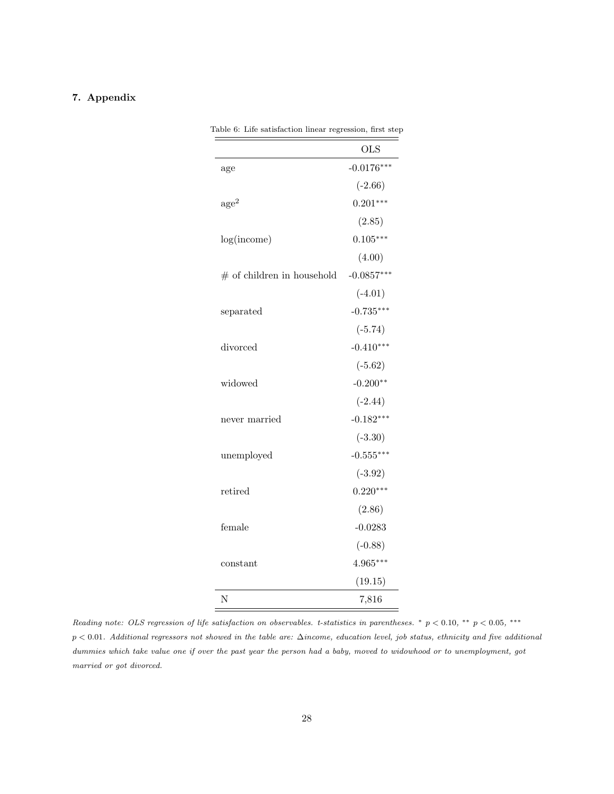## <span id="page-28-1"></span><span id="page-28-0"></span>7. Appendix

|                              | <b>OLS</b>   |
|------------------------------|--------------|
| age                          | $-0.0176***$ |
|                              | $(-2.66)$    |
| $\rm age^2$                  | $0.201***$   |
|                              | (2.85)       |
| log(income)                  | $0.105***$   |
|                              | (4.00)       |
| $#$ of children in household | $-0.0857***$ |
|                              | $(-4.01)$    |
| separated                    | $-0.735***$  |
|                              | $(-5.74)$    |
| divorced                     | $-0.410***$  |
|                              | $(-5.62)$    |
| widowed                      | $-0.200**$   |
|                              | $(-2.44)$    |
| never married                | $-0.182***$  |
|                              | $(-3.30)$    |
| unemployed                   | $-0.555***$  |
|                              | $(-3.92)$    |
| retired                      | $0.220***$   |
|                              | (2.86)       |
| female                       | $-0.0283$    |
|                              | $(-0.88)$    |
| constant                     | $4.965***$   |
|                              | (19.15)      |
| N                            | 7,816        |

Table 6: Life satisfaction linear regression, first step

Reading note: OLS regression of life satisfaction on observables. t-statistics in parentheses. \*  $p < 0.10$ , \*\*  $p < 0.05$ , \*\*\* p < 0.01. Additional regressors not showed in the table are: ∆income, education level, job status, ethnicity and five additional dummies which take value one if over the past year the person had a baby, moved to widowhood or to unemployment, got married or got divorced.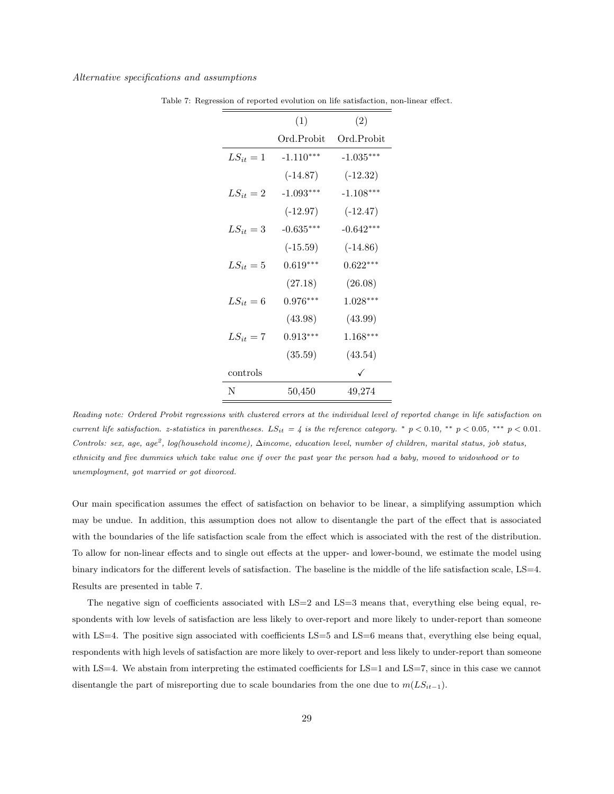#### <span id="page-29-0"></span>Alternative specifications and assumptions

|               | (1)         | (2)          |
|---------------|-------------|--------------|
|               | Ord.Probit  | Ord.Probit   |
| $LS_{it}=1$   | $-1.110***$ | $-1.035***$  |
|               | $(-14.87)$  | $(-12.32)$   |
| $LS_{it} = 2$ | $-1.093***$ | $-1.108***$  |
|               | $(-12.97)$  | $(-12.47)$   |
| $LS_{it} = 3$ | $-0.635***$ | $-0.642***$  |
|               | $(-15.59)$  | $(-14.86)$   |
| $LS_{it} = 5$ | $0.619***$  | $0.622***$   |
|               | (27.18)     | (26.08)      |
| $LS_{it}=6$   | $0.976***$  | $1.028***$   |
|               | (43.98)     | (43.99)      |
| $LS_{it} = 7$ | $0.913***$  | $1.168***$   |
|               | (35.59)     | (43.54)      |
| controls      |             | $\checkmark$ |
| N             | 50,450      | 49,274       |

Table 7: Regression of reported evolution on life satisfaction, non-linear effect.

Our main specification assumes the effect of satisfaction on behavior to be linear, a simplifying assumption which may be undue. In addition, this assumption does not allow to disentangle the part of the effect that is associated with the boundaries of the life satisfaction scale from the effect which is associated with the rest of the distribution. To allow for non-linear effects and to single out effects at the upper- and lower-bound, we estimate the model using binary indicators for the different levels of satisfaction. The baseline is the middle of the life satisfaction scale, LS=4. Results are presented in table [7.](#page-29-0)

The negative sign of coefficients associated with LS=2 and LS=3 means that, everything else being equal, respondents with low levels of satisfaction are less likely to over-report and more likely to under-report than someone with LS=4. The positive sign associated with coefficients LS=5 and LS=6 means that, everything else being equal, respondents with high levels of satisfaction are more likely to over-report and less likely to under-report than someone with  $LS=4$ . We abstain from interpreting the estimated coefficients for  $LS=1$  and  $LS=7$ , since in this case we cannot disentangle the part of misreporting due to scale boundaries from the one due to  $m(LS_{it-1})$ .

Reading note: Ordered Probit regressions with clustered errors at the individual level of reported change in life satisfaction on current life satisfaction. z-statistics in parentheses.  $LS_{it} = 4$  is the reference category. \*  $p < 0.10$ , \*\*  $p < 0.05$ , \*\*\*  $p < 0.01$ . Controls: sex, age, age<sup>2</sup>, log(household income),  $\Delta$ income, education level, number of children, marital status, job status, ethnicity and five dummies which take value one if over the past year the person had a baby, moved to widowhood or to unemployment, got married or got divorced.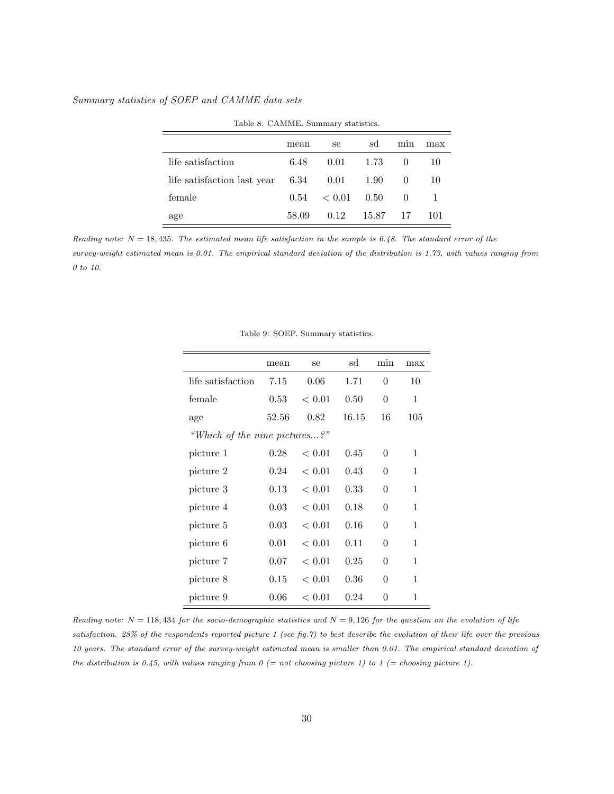## <span id="page-30-0"></span>Summary statistics of SOEP and CAMME data sets

|                             | mean  | se     | sd     | min      | max |  |
|-----------------------------|-------|--------|--------|----------|-----|--|
| life satisfaction           | 6.48  | 0.01   | - 1.73 | $\theta$ | 10  |  |
| life satisfaction last year | 6.34  | 0.01   | - 1.90 | $\Omega$ | 10  |  |
| female                      | 0.54  | < 0.01 | - 0.50 | $\Omega$ |     |  |
| age                         | 58.09 | 0.12   | 15.87  | 17       | 101 |  |

Table 8: CAMME. Summary statistics.

<span id="page-30-1"></span>Reading note:  $N = 18,435$ . The estimated mean life satisfaction in the sample is 6.48. The standard error of the survey-weight estimated mean is 0.01. The empirical standard deviation of the distribution is 1.73, with values ranging from 0 to 10.

|                               | mean  | se         | sd    | min            | max          |
|-------------------------------|-------|------------|-------|----------------|--------------|
| life satisfaction             | 7.15  | 0.06       | 1.71  | $\overline{0}$ | 10           |
| female                        | 0.53  | < 0.01     | 0.50  | $\overline{0}$ | 1            |
| age                           | 52.56 | 0.82       | 16.15 | 16             | 105          |
| "Which of the nine pictures?" |       |            |       |                |              |
| picture 1                     | 0.28  | ${}< 0.01$ | 0.45  | 0              | 1            |
| picture 2                     | 0.24  | ${}< 0.01$ | 0.43  | $\overline{0}$ | 1            |
| picture 3                     | 0.13  | ${}< 0.01$ | 0.33  | $\overline{0}$ | 1            |
| picture 4                     | 0.03  | < 0.01     | 0.18  | $\overline{0}$ | 1            |
| picture 5                     | 0.03  | < 0.01     | 0.16  | $\overline{0}$ | 1            |
| picture 6                     | 0.01  | < 0.01     | 0.11  | 0              | 1            |
| picture 7                     | 0.07  | < 0.01     | 0.25  | $\overline{0}$ | $\mathbf{1}$ |
| picture 8                     | 0.15  | ${}< 0.01$ | 0.36  | $\overline{0}$ | 1            |
| picture 9                     | 0.06  | < 0.01     | 0.24  | 0              | 1            |

Table 9: SOEP. Summary statistics.

Reading note:  $N = 118,434$  for the socio-demographic statistics and  $N = 9,126$  for the question on the evolution of life satisfaction. 28% of the respondents reported picture 1 (see fig[.7\)](#page-22-2) to best describe the evolution of their life over the previous 10 years. The standard error of the survey-weight estimated mean is smaller than 0.01. The empirical standard deviation of the distribution is 0.45, with values ranging from  $0 (= not choosing picture 1)$  to  $1 (= choosing picture 1)$ .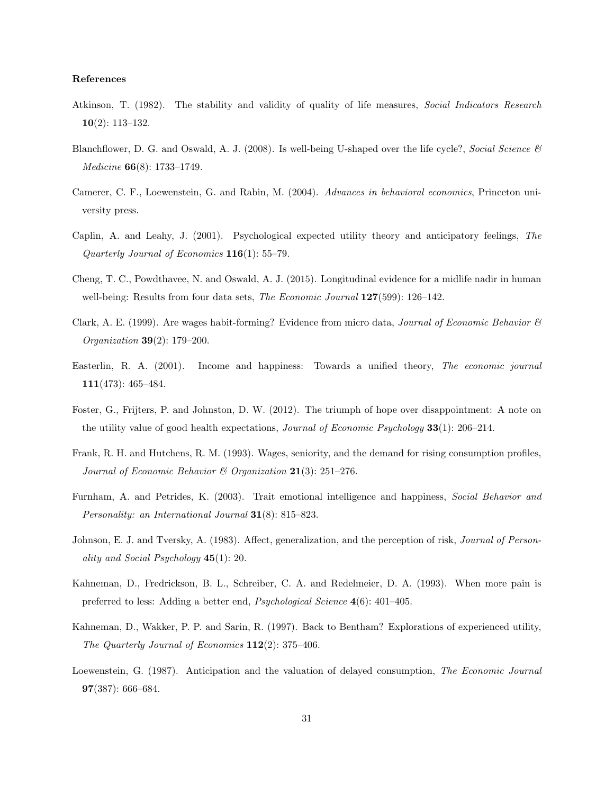#### References

- <span id="page-31-4"></span>Atkinson, T. (1982). The stability and validity of quality of life measures, Social Indicators Research 10(2): 113–132.
- <span id="page-31-8"></span>Blanchflower, D. G. and Oswald, A. J. (2008). Is well-being U-shaped over the life cycle?, Social Science & Medicine 66(8): 1733–1749.
- <span id="page-31-13"></span>Camerer, C. F., Loewenstein, G. and Rabin, M. (2004). Advances in behavioral economics, Princeton university press.
- <span id="page-31-11"></span>Caplin, A. and Leahy, J. (2001). Psychological expected utility theory and anticipatory feelings, The Quarterly Journal of Economics 116(1): 55–79.
- <span id="page-31-9"></span>Cheng, T. C., Powdthavee, N. and Oswald, A. J. (2015). Longitudinal evidence for a midlife nadir in human well-being: Results from four data sets, *The Economic Journal* **127**(599): 126–142.
- <span id="page-31-3"></span>Clark, A. E. (1999). Are wages habit-forming? Evidence from micro data, *Journal of Economic Behavior*  $\mathscr{C}$ Organization 39(2): 179–200.
- <span id="page-31-1"></span>Easterlin, R. A. (2001). Income and happiness: Towards a unified theory, The economic journal 111(473): 465–484.
- <span id="page-31-5"></span>Foster, G., Frijters, P. and Johnston, D. W. (2012). The triumph of hope over disappointment: A note on the utility value of good health expectations, *Journal of Economic Psychology* **33**(1): 206–214.
- <span id="page-31-10"></span>Frank, R. H. and Hutchens, R. M. (1993). Wages, seniority, and the demand for rising consumption profiles, Journal of Economic Behavior & Organization  $21(3)$ : 251–276.
- <span id="page-31-7"></span>Furnham, A. and Petrides, K. (2003). Trait emotional intelligence and happiness, Social Behavior and Personality: an International Journal 31(8): 815–823.
- <span id="page-31-6"></span>Johnson, E. J. and Tversky, A. (1983). Affect, generalization, and the perception of risk, Journal of Personality and Social Psychology  $45(1)$ : 20.
- <span id="page-31-0"></span>Kahneman, D., Fredrickson, B. L., Schreiber, C. A. and Redelmeier, D. A. (1993). When more pain is preferred to less: Adding a better end, Psychological Science 4(6): 401–405.
- <span id="page-31-2"></span>Kahneman, D., Wakker, P. P. and Sarin, R. (1997). Back to Bentham? Explorations of experienced utility, The Quarterly Journal of Economics  $112(2)$ : 375-406.
- <span id="page-31-12"></span>Loewenstein, G. (1987). Anticipation and the valuation of delayed consumption, The Economic Journal 97(387): 666–684.